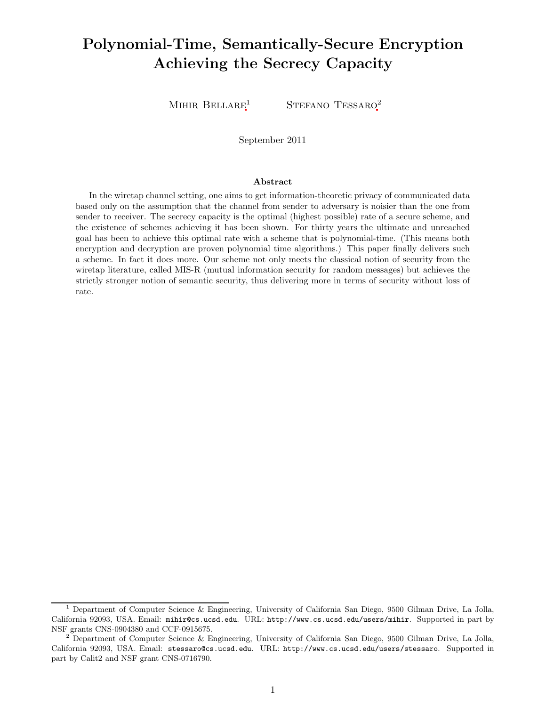# Polynomial-Time, Semantically-Secure Encryption Achieving the Secrecy Capacity

MIHIR BELLARE<sup>1</sup> STEFANO TESSARO<sup>2</sup>

September 2011

#### Abstract

In the wiretap channel setting, one aims to get information-theoretic privacy of communicated data based only on the assumption that the channel from sender to adversary is noisier than the one from sender to receiver. The secrecy capacity is the optimal (highest possible) rate of a secure scheme, and the existence of schemes achieving it has been shown. For thirty years the ultimate and unreached goal has been to achieve this optimal rate with a scheme that is polynomial-time. (This means both encryption and decryption are proven polynomial time algorithms.) This paper finally delivers such a scheme. In fact it does more. Our scheme not only meets the classical notion of security from the wiretap literature, called MIS-R (mutual information security for random messages) but achieves the strictly stronger notion of semantic security, thus delivering more in terms of security without loss of rate.

<sup>1</sup> Department of Computer Science & Engineering, University of California San Diego, 9500 Gilman Drive, La Jolla, California 92093, USA. Email: mihir@cs.ucsd.edu. URL: http://www.cs.ucsd.edu/users/mihir. Supported in part by NSF grants CNS-0904380 and CCF-0915675.

<sup>2</sup> Department of Computer Science & Engineering, University of California San Diego, 9500 Gilman Drive, La Jolla, California 92093, USA. Email: stessaro@cs.ucsd.edu. URL: http://www.cs.ucsd.edu/users/stessaro. Supported in part by Calit2 and NSF grant CNS-0716790.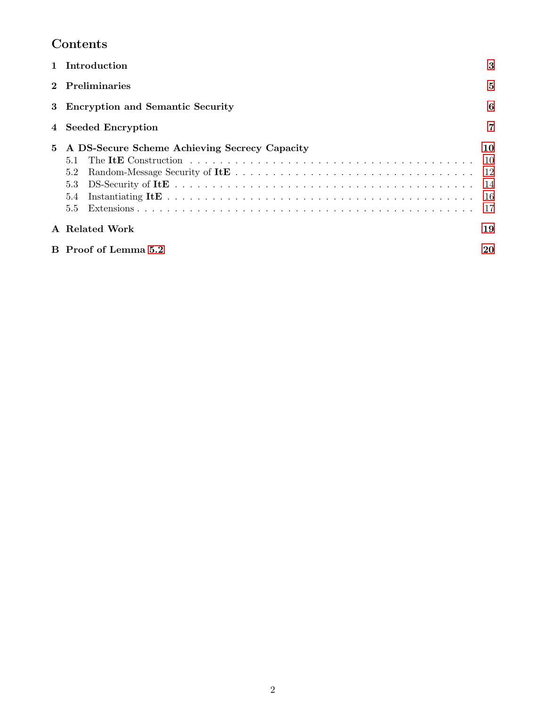# Contents

|   | Introduction                                                                               | 3                                 |
|---|--------------------------------------------------------------------------------------------|-----------------------------------|
|   | <b>Preliminaries</b>                                                                       | 5                                 |
| 3 | <b>Encryption and Semantic Security</b>                                                    | 6                                 |
|   | <b>Seeded Encryption</b>                                                                   | $\overline{7}$                    |
| 5 | A DS-Secure Scheme Achieving Secrecy Capacity<br>5.1<br>5.2<br>5.3<br>5.4<br>$5.5^{\circ}$ | 10<br>10<br>12<br>14<br>-16<br>17 |
|   | A Related Work                                                                             | 19                                |
|   | B Proof of Lemma 5.2                                                                       | 20                                |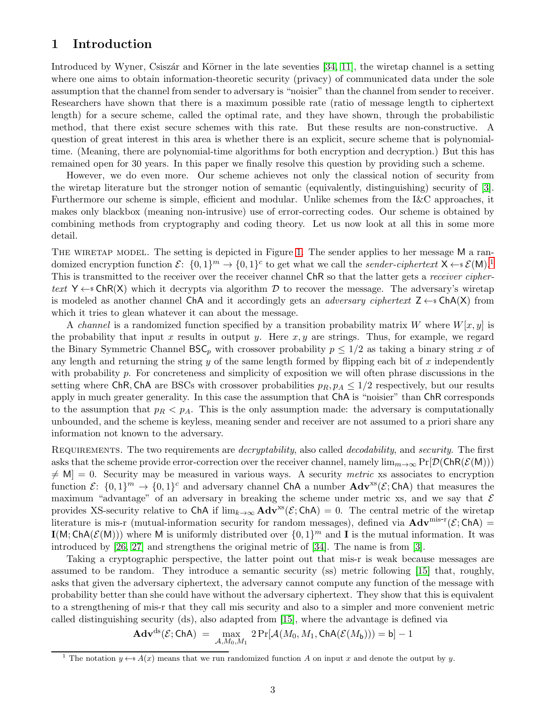# <span id="page-2-2"></span><span id="page-2-0"></span>1 Introduction

Introduced by Wyner, Csiszár and Körner in the late seventies [\[34,](#page-18-1) [11\]](#page-17-0), the wiretap channel is a setting where one aims to obtain information-theoretic security (privacy) of communicated data under the sole assumption that the channel from sender to adversary is "noisier" than the channel from sender to receiver. Researchers have shown that there is a maximum possible rate (ratio of message length to ciphertext length) for a secure scheme, called the optimal rate, and they have shown, through the probabilistic method, that there exist secure schemes with this rate. But these results are non-constructive. A question of great interest in this area is whether there is an explicit, secure scheme that is polynomialtime. (Meaning, there are polynomial-time algorithms for both encryption and decryption.) But this has remained open for 30 years. In this paper we finally resolve this question by providing such a scheme.

However, we do even more. Our scheme achieves not only the classical notion of security from the wiretap literature but the stronger notion of semantic (equivalently, distinguishing) security of [\[3\]](#page-16-1). Furthermore our scheme is simple, efficient and modular. Unlike schemes from the I&C approaches, it makes only blackbox (meaning non-intrusive) use of error-correcting codes. Our scheme is obtained by combining methods from cryptography and coding theory. Let us now look at all this in some more detail.

THE WIRETAP MODEL. The setting is depicted in Figure [1.](#page-3-0) The sender applies to her message M a randomized encryption function  $\mathcal{E}$ :  $\{0,1\}^m \to \{0,1\}^c$  $\{0,1\}^m \to \{0,1\}^c$  $\{0,1\}^m \to \{0,1\}^c$  to get what we call the *sender-ciphertext*  $X \leftarrow s \mathcal{E}(M)$ .<sup>1</sup> This is transmitted to the receiver over the receiver channel ChR so that the latter gets a *receiver ciphertext*  $Y \leftarrow$  ChR(X) which it decrypts via algorithm D to recover the message. The adversary's wiretap is modeled as another channel ChA and it accordingly gets an *adversary ciphertext*  $Z \leftarrow$  ChA(X) from which it tries to glean whatever it can about the message.

A *channel* is a randomized function specified by a transition probability matrix W where  $W[x, y]$  is the probability that input x results in output y. Here  $x, y$  are strings. Thus, for example, we regard the Binary Symmetric Channel BSC<sub>p</sub> with crossover probability  $p \leq 1/2$  as taking a binary string x of any length and returning the string  $y$  of the same length formed by flipping each bit of  $x$  independently with probability p. For concreteness and simplicity of exposition we will often phrase discussions in the setting where ChR, ChA are BSCs with crossover probabilities  $p_R$ ,  $p_A \leq 1/2$  respectively, but our results apply in much greater generality. In this case the assumption that ChA is "noisier" than ChR corresponds to the assumption that  $p_R < p_A$ . This is the only assumption made: the adversary is computationally unbounded, and the scheme is keyless, meaning sender and receiver are not assumed to a priori share any information not known to the adversary.

Requirements. The two requirements are *decryptability*, also called *decodability*, and *security*. The first asks that the scheme provide error-correction over the receiver channel, namely  $\lim_{m\to\infty} \Pr[\mathcal{D}(\mathsf{ChR}(\mathcal{E}(M)))]$  $\neq$  M] = 0. Security may be measured in various ways. A security *metric* xs associates to encryption function  $\mathcal{E}$ :  $\{0,1\}^m \to \{0,1\}^c$  and adversary channel ChA a number  $\text{Adv}^{xs}(\mathcal{E}; \text{ChA})$  that measures the maximum "advantage" of an adversary in breaking the scheme under metric xs, and we say that  $\mathcal E$ provides XS-security relative to ChA if  $\lim_{k\to\infty}$  Adv<sup>xs</sup>( $\mathcal{E}$ ; ChA) = 0. The central metric of the wiretap literature is mis-r (mutual-information security for random messages), defined via  $\mathbf{Adv}^{\text{mis-r}}(\mathcal{E}; \mathsf{ChA}) =$  $I(M; ChA(\mathcal{E}(M)))$  where M is uniformly distributed over  $\{0,1\}^m$  and I is the mutual information. It was introduced by [\[26,](#page-17-1) [27\]](#page-17-2) and strengthens the original metric of [\[34\]](#page-18-1). The name is from [\[3\]](#page-16-1).

Taking a cryptographic perspective, the latter point out that mis-r is weak because messages are assumed to be random. They introduce a semantic security (ss) metric following [\[15\]](#page-17-3) that, roughly, asks that given the adversary ciphertext, the adversary cannot compute any function of the message with probability better than she could have without the adversary ciphertext. They show that this is equivalent to a strengthening of mis-r that they call mis security and also to a simpler and more convenient metric called distinguishing security (ds), also adapted from [\[15\]](#page-17-3), where the advantage is defined via

$$
\mathbf{Adv}^{\mathrm{ds}}(\mathcal{E};\mathsf{ChA}) = \max_{\mathcal{A},M_0,M_1} 2\Pr[\mathcal{A}(M_0,M_1,\mathsf{ChA}(\mathcal{E}(M_{\mathsf{b}}))) = \mathsf{b}] - 1
$$

<span id="page-2-1"></span><sup>&</sup>lt;sup>1</sup> The notation  $y \leftarrow s A(x)$  means that we run randomized function A on input x and denote the output by y.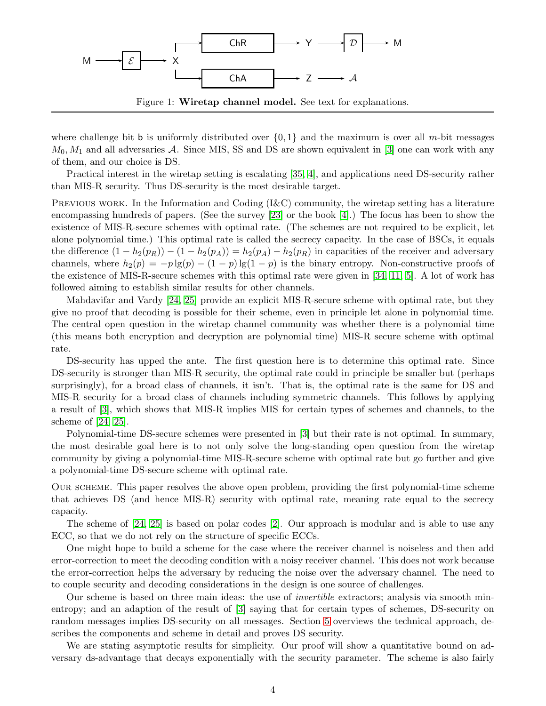<span id="page-3-1"></span>

<span id="page-3-0"></span>Figure 1: Wiretap channel model. See text for explanations.

where challenge bit b is uniformly distributed over  $\{0,1\}$  and the maximum is over all m-bit messages  $M_0, M_1$  and all adversaries A. Since MIS, SS and DS are shown equivalent in [\[3\]](#page-16-1) one can work with any of them, and our choice is DS.

Practical interest in the wiretap setting is escalating [\[35,](#page-18-2) [4\]](#page-16-2), and applications need DS-security rather than MIS-R security. Thus DS-security is the most desirable target.

PREVIOUS WORK. In the Information and Coding (I&C) community, the wiretap setting has a literature encompassing hundreds of papers. (See the survey [\[23\]](#page-17-4) or the book [\[4\]](#page-16-2).) The focus has been to show the existence of MIS-R-secure schemes with optimal rate. (The schemes are not required to be explicit, let alone polynomial time.) This optimal rate is called the secrecy capacity. In the case of BSCs, it equals the difference  $(1 - h_2(p_R)) - (1 - h_2(p_A)) = h_2(p_A) - h_2(p_R)$  in capacities of the receiver and adversary channels, where  $h_2(p) = -p \lg(p) - (1 - p) \lg(1 - p)$  is the binary entropy. Non-constructive proofs of the existence of MIS-R-secure schemes with this optimal rate were given in [\[34,](#page-18-1) [11,](#page-17-0) [5\]](#page-16-3). A lot of work has followed aiming to establish similar results for other channels.

Mahdavifar and Vardy [\[24,](#page-17-5) [25\]](#page-17-6) provide an explicit MIS-R-secure scheme with optimal rate, but they give no proof that decoding is possible for their scheme, even in principle let alone in polynomial time. The central open question in the wiretap channel community was whether there is a polynomial time (this means both encryption and decryption are polynomial time) MIS-R secure scheme with optimal rate.

DS-security has upped the ante. The first question here is to determine this optimal rate. Since DS-security is stronger than MIS-R security, the optimal rate could in principle be smaller but (perhaps surprisingly), for a broad class of channels, it isn't. That is, the optimal rate is the same for DS and MIS-R security for a broad class of channels including symmetric channels. This follows by applying a result of [\[3\]](#page-16-1), which shows that MIS-R implies MIS for certain types of schemes and channels, to the scheme of [\[24,](#page-17-5) [25\]](#page-17-6).

Polynomial-time DS-secure schemes were presented in [\[3\]](#page-16-1) but their rate is not optimal. In summary, the most desirable goal here is to not only solve the long-standing open question from the wiretap community by giving a polynomial-time MIS-R-secure scheme with optimal rate but go further and give a polynomial-time DS-secure scheme with optimal rate.

Our scheme. This paper resolves the above open problem, providing the first polynomial-time scheme that achieves DS (and hence MIS-R) security with optimal rate, meaning rate equal to the secrecy capacity.

The scheme of [\[24,](#page-17-5) [25\]](#page-17-6) is based on polar codes [\[2\]](#page-16-4). Our approach is modular and is able to use any ECC, so that we do not rely on the structure of specific ECCs.

One might hope to build a scheme for the case where the receiver channel is noiseless and then add error-correction to meet the decoding condition with a noisy receiver channel. This does not work because the error-correction helps the adversary by reducing the noise over the adversary channel. The need to to couple security and decoding considerations in the design is one source of challenges.

Our scheme is based on three main ideas: the use of *invertible* extractors; analysis via smooth minentropy; and an adaption of the result of [\[3\]](#page-16-1) saying that for certain types of schemes, DS-security on random messages implies DS-security on all messages. Section [5](#page-9-0) overviews the technical approach, describes the components and scheme in detail and proves DS security.

We are stating asymptotic results for simplicity. Our proof will show a quantitative bound on adversary ds-advantage that decays exponentially with the security parameter. The scheme is also fairly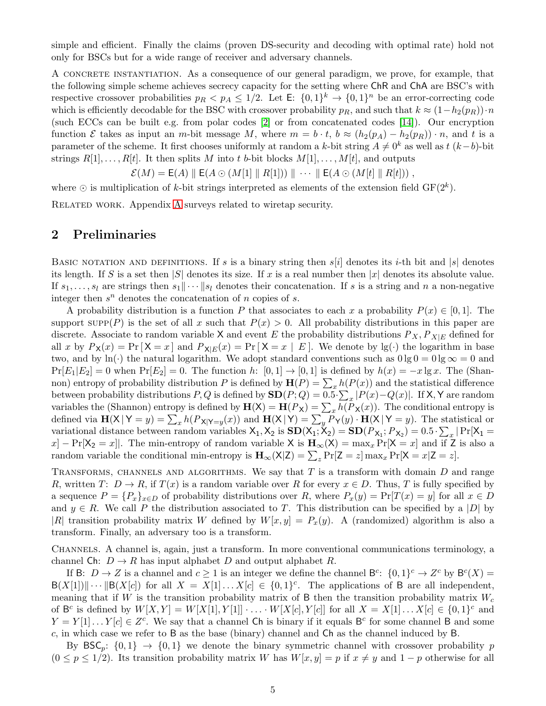<span id="page-4-1"></span>simple and efficient. Finally the claims (proven DS-security and decoding with optimal rate) hold not only for BSCs but for a wide range of receiver and adversary channels.

A CONCRETE INSTANTIATION. As a consequence of our general paradigm, we prove, for example, that the following simple scheme achieves secrecy capacity for the setting where ChR and ChA are BSC's with respective crossover probabilities  $p_R < p_A \leq 1/2$ . Let  $\mathsf{E}: \{0,1\}^k \to \{0,1\}^n$  be an error-correcting code which is efficiently decodable for the BSC with crossover probability  $p_R$ , and such that  $k \approx (1-h_2(p_R)) \cdot n$ (such ECCs can be built e.g. from polar codes [\[2\]](#page-16-4) or from concatenated codes [\[14\]](#page-17-7)). Our encryption function E takes as input an m-bit message M, where  $m = b \cdot t$ ,  $b \approx (h_2(p_A) - h_2(p_B)) \cdot n$ , and t is a parameter of the scheme. It first chooses uniformly at random a k-bit string  $A \neq 0^k$  as well as  $t (k-b)$ -bit strings  $R[1], \ldots, R[t]$ . It then splits M into t b-bit blocks  $M[1], \ldots, M[t]$ , and outputs

$$
\mathcal{E}(M) = \mathsf{E}(A) \parallel \mathsf{E}(A \odot (M[1] \parallel R[1])) \parallel \cdots \parallel \mathsf{E}(A \odot (M[t] \parallel R[t])) ,
$$

where  $\odot$  is multiplication of k-bit strings interpreted as elements of the extension field  $GF(2^k)$ .

<span id="page-4-0"></span>Related work. Appendix [A](#page-18-0) surveys related to wiretap security.

### 2 Preliminaries

BASIC NOTATION AND DEFINITIONS. If s is a binary string then  $s[i]$  denotes its i-th bit and  $|s|$  denotes its length. If S is a set then  $|S|$  denotes its size. If x is a real number then  $|x|$  denotes its absolute value. If  $s_1, \ldots, s_l$  are strings then  $s_1 \cdots s_l$  denotes their concatenation. If s is a string and n a non-negative integer then  $s^n$  denotes the concatenation of n copies of s.

A probability distribution is a function P that associates to each x a probability  $P(x) \in [0,1]$ . The support  $\text{supp}(P)$  is the set of all x such that  $P(x) > 0$ . All probability distributions in this paper are discrete. Associate to random variable X and event E the probability distributions  $P_X, P_{X|E}$  defined for all x by  $P_X(x) = Pr[X = x]$  and  $P_{X|E}(x) = Pr[X = x | E]$ . We denote by lg(·) the logarithm in base two, and by ln(·) the natural logarithm. We adopt standard conventions such as  $0 \lg 0 = 0 \lg \infty = 0$  and  $Pr[E_1|E_2] = 0$  when  $Pr[E_2] = 0$ . The function h:  $[0,1] \rightarrow [0,1]$  is defined by  $h(x) = -x \lg x$ . The (Shannon) entropy of probability distribution P is defined by  $\mathbf{H}(P) = \sum_{x} h(P(x))$  and the statistical difference between probability distributions  $P, Q$  is defined by  $SD(P; Q) = 0.5 \sum_x |P(x) - Q(x)|$ . If X, Y are random variables the (Shannon) entropy is defined by  $\mathbf{H}(\mathsf{X}) = \mathbf{H}(P_\mathsf{X}) = \sum_x h(P_\mathsf{X}(x))$ . The conditional entropy is defined via  $\mathbf{H}(\mathsf{X} | \mathsf{Y} = y) = \sum_x h(P_{\mathsf{X} | \mathsf{Y} = y}(x))$  and  $\mathbf{H}(\mathsf{X} | \mathsf{Y}) = \sum_y P_{\mathsf{Y}}(y) \cdot \mathbf{H}(\mathsf{X} | \mathsf{Y} = y)$ . The statistical or variational distance between random variables  $X_1, X_2$  is  $SD(X_1, X_2) = SD(P_{X_1}; P_{X_2}) = 0.5 \cdot \sum_x |Pr[X_1 =$  $x$ ] – Pr[X<sub>2</sub> = x]. The min-entropy of random variable X is  $H_{\infty}(X) = \max_{x} Pr[X = x]$  and if Z is also a random variable the conditional min-entropy is  $\mathbf{H}_{\infty}(\mathsf{X}|\mathsf{Z}) = \sum_{z} \Pr[\mathsf{Z} = z] \max_{x} \Pr[\mathsf{X} = x | \mathsf{Z} = z].$ 

TRANSFORMS, CHANNELS AND ALGORITHMS. We say that  $T$  is a transform with domain  $D$  and range R, written  $T: D \to R$ , if  $T(x)$  is a random variable over R for every  $x \in D$ . Thus, T is fully specified by a sequence  $P = \{P_x\}_{x \in D}$  of probability distributions over R, where  $P_x(y) = \Pr[T(x) = y]$  for all  $x \in D$ and  $y \in R$ . We call P the distribution associated to T. This distribution can be specified by a |D| by |R| transition probability matrix W defined by  $W[x, y] = P_x(y)$ . A (randomized) algorithm is also a transform. Finally, an adversary too is a transform.

CHANNELS. A channel is, again, just a transform. In more conventional communications terminology, a channel Ch:  $D \to R$  has input alphabet D and output alphabet R.

If B:  $D \to Z$  is a channel and  $c \ge 1$  is an integer we define the channel  $B^c$ :  $\{0,1\}^c \to Z^c$  by  $B^c(X) =$  $B(X[1]) \|\cdots \| B(X[c])$  for all  $X = X[1] \ldots X[c] \in \{0,1\}^c$ . The applications of B are all independent, meaning that if W is the transition probability matrix of B then the transition probability matrix  $W_c$ of  $B^c$  is defined by  $W[X, Y] = W[X[1], Y[1]] \cdot \ldots \cdot W[X[c], Y[c]]$  for all  $X = X[1] \ldots X[c] \in \{0, 1\}^c$  and  $Y = Y[1] \dots Y[c] \in Z<sup>c</sup>$ . We say that a channel Ch is binary if it equals B<sup>c</sup> for some channel B and some c, in which case we refer to B as the base (binary) channel and  $\mathsf{Ch}$  as the channel induced by  $\mathsf B$ .

By  $\text{BSC}_p$ :  $\{0,1\} \rightarrow \{0,1\}$  we denote the binary symmetric channel with crossover probability p  $(0 \le p \le 1/2)$ . Its transition probability matrix W has  $W[x, y] = p$  if  $x \ne y$  and  $1 - p$  otherwise for all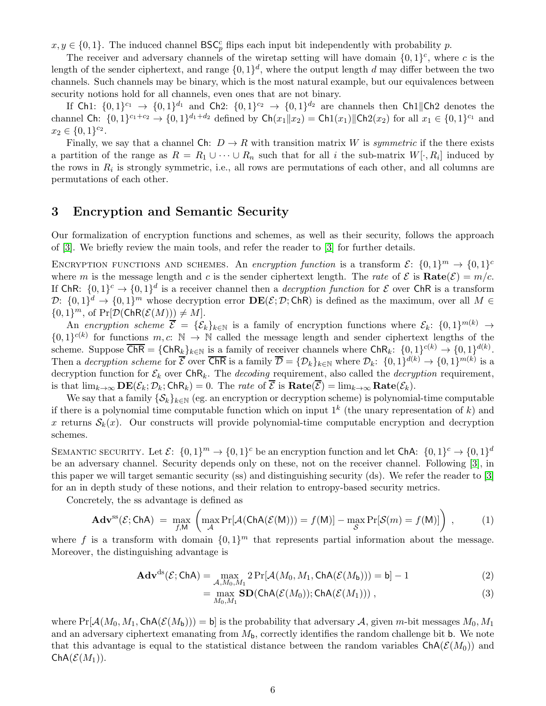<span id="page-5-1"></span> $x, y \in \{0, 1\}$ . The induced channel  $BSC_p^c$  flips each input bit independently with probability p.

The receiver and adversary channels of the wiretap setting will have domain  $\{0,1\}^c$ , where c is the length of the sender ciphertext, and range  $\{0,1\}^d$ , where the output length d may differ between the two channels. Such channels may be binary, which is the most natural example, but our equivalences between security notions hold for all channels, even ones that are not binary.

If Ch1:  $\{0,1\}^{c_1} \to \{0,1\}^{d_1}$  and Ch2:  $\{0,1\}^{c_2} \to \{0,1\}^{d_2}$  are channels then Ch1||Ch2 denotes the channel Ch:  $\{0,1\}^{c_1+c_2} \to \{0,1\}^{d_1+d_2}$  defined by  $\mathsf{Ch}(x_1||x_2) = \mathsf{Ch}(x_1)||\mathsf{Ch}(x_2)$  for all  $x_1 \in \{0,1\}^{c_1}$  and  $x_2 \in \{0, 1\}^{c_2}.$ 

Finally, we say that a channel Ch:  $D \to R$  with transition matrix W is *symmetric* if the there exists a partition of the range as  $R = R_1 \cup \cdots \cup R_n$  such that for all i the sub-matrix  $W[\cdot, R_i]$  induced by the rows in  $R_i$  is strongly symmetric, i.e., all rows are permutations of each other, and all columns are permutations of each other.

## <span id="page-5-0"></span>3 Encryption and Semantic Security

Our formalization of encryption functions and schemes, as well as their security, follows the approach of [\[3\]](#page-16-1). We briefly review the main tools, and refer the reader to [\[3\]](#page-16-1) for further details.

ENCRYPTION FUNCTIONS AND SCHEMES. An *encryption function* is a transform  $\mathcal{E}$ :  $\{0,1\}^m \rightarrow \{0,1\}^c$ where m is the message length and c is the sender ciphertext length. The *rate* of  $\mathcal{E}$  is **Rate**( $\mathcal{E}$ ) = m/c. If ChR:  $\{0,1\}^c \rightarrow \{0,1\}^d$  is a receiver channel then a *decryption function* for  $\mathcal E$  over ChR is a transform  $\mathcal{D}$ :  $\{0,1\}^d \to \{0,1\}^m$  whose decryption error  $\mathbf{DE}(\mathcal{E}; \mathcal{D}; \mathsf{ChR})$  is defined as the maximum, over all  $M \in$  ${0,1}^m$ , of  $Pr[\mathcal{D}(\mathsf{ChR}(\mathcal{E}(M))]\neq M]$ .

An *encryption scheme*  $\overline{\mathcal{E}} = {\{\mathcal{E}_k\}_{k\in\mathbb{N}}}$  is a family of encryption functions where  $\mathcal{E}_k$ :  $\{0,1\}^{m(k)} \to$  $\{0,1\}^{c(k)}$  for functions  $m, c: \mathbb{N} \to \mathbb{N}$  called the message length and sender ciphertext lengths of the scheme. Suppose  $\overline{\textsf{ChR}} = \{\textsf{ChR}_k\}_{k\in\mathbb{N}}$  is a family of receiver channels where  $\textsf{ChR}_k: \{0,1\}^{c(k)} \to \{0,1\}^{d(k)}$ . Then a *decryption scheme* for  $\overline{\mathcal{E}}$  over  $\overline{\mathsf{ChR}}$  is a family  $\overline{\mathcal{D}} = {\mathcal{D}_k}_{k\in\mathbb{N}}$  where  $\mathcal{D}_k$ :  $\{0,1\}^{d(k)} \to \{0,1\}^{m(k)}$  is a decryption function for  $\mathcal{E}_k$  over  $\mathsf{ChR}_k$ . The *decoding* requirement, also called the *decryption* requirement, is that  $\lim_{k\to\infty} \mathbf{DE}(\mathcal{E}_k; \mathcal{D}_k; \mathsf{ChR}_k) = 0$ . The *rate* of  $\overline{\mathcal{E}}$  is  $\mathbf{Rate}(\overline{\mathcal{E}}) = \lim_{k\to\infty} \mathbf{Rate}(\mathcal{E}_k)$ .

We say that a family  $\{\mathcal{S}_k\}_{k\in\mathbb{N}}$  (eg. an encryption or decryption scheme) is polynomial-time computable if there is a polynomial time computable function which on input  $1^k$  (the unary representation of k) and x returns  $S_k(x)$ . Our constructs will provide polynomial-time computable encryption and decryption schemes.

SEMANTIC SECURITY. Let  $\mathcal{E}$ :  $\{0,1\}^m \to \{0,1\}^c$  be an encryption function and let ChA:  $\{0,1\}^c \to \{0,1\}^d$ be an adversary channel. Security depends only on these, not on the receiver channel. Following [\[3\]](#page-16-1), in this paper we will target semantic security (ss) and distinguishing security (ds). We refer the reader to [\[3\]](#page-16-1) for an in depth study of these notions, and their relation to entropy-based security metrics.

Concretely, the ss advantage is defined as

$$
\mathbf{Adv}^{\mathrm{ss}}(\mathcal{E};\mathsf{ChA}) = \max_{f,M} \left( \max_{\mathcal{A}} \Pr[\mathcal{A}(\mathsf{ChA}(\mathcal{E}(M))) = f(M)] - \max_{\mathcal{S}} \Pr[\mathcal{S}(m) = f(M)] \right), \tag{1}
$$

where f is a transform with domain  $\{0,1\}^m$  that represents partial information about the message. Moreover, the distinguishing advantage is

$$
\mathbf{Adv}^{\mathrm{ds}}(\mathcal{E};\mathsf{ChA}) = \max_{\mathcal{A},M_0,M_1} 2\Pr[\mathcal{A}(M_0,M_1,\mathsf{ChA}(\mathcal{E}(M_b))) = b] - 1
$$
 (2)

$$
= \max_{M_0, M_1} \mathbf{SD}(\mathsf{ChA}(\mathcal{E}(M_0)); \mathsf{ChA}(\mathcal{E}(M_1))) , \qquad (3)
$$

where  $Pr[\mathcal{A}(M_0, M_1, Ch\mathcal{A}(\mathcal{E}(M_b))) = b]$  is the probability that adversary  $\mathcal{A}$ , given m-bit messages  $M_0, M_1$ and an adversary ciphertext emanating from  $M<sub>b</sub>$ , correctly identifies the random challenge bit b. We note that this advantage is equal to the statistical distance between the random variables  $\text{ChA}(\mathcal{E}(M_0))$  and  $ChA(E(M_1)).$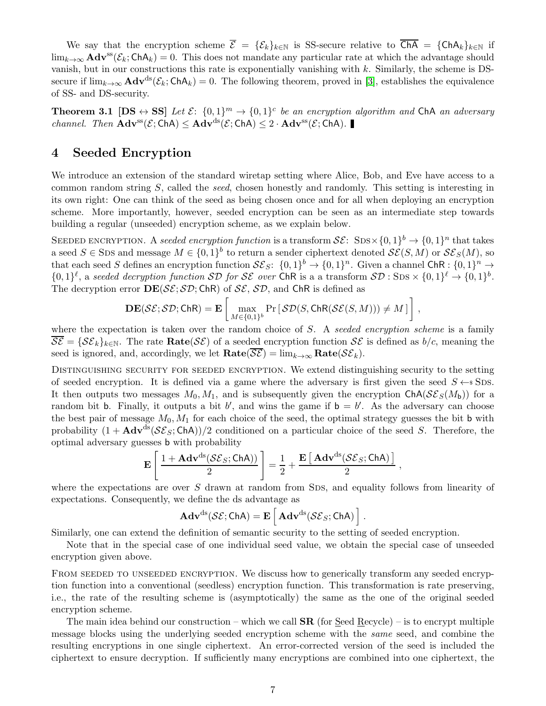<span id="page-6-1"></span>We say that the encryption scheme  $\overline{\mathcal{E}} = {\mathcal{E}_k}_{k\in\mathbb{N}}$  is SS-secure relative to  $\overline{\mathsf{ChA}} = {\mathsf{ChA}_k}_{k\in\mathbb{N}}$  if  $\lim_{k\to\infty}$  **Adv**<sup>ss</sup>( $\mathcal{E}_k$ ; ChA<sub>k</sub>) = 0. This does not mandate any particular rate at which the advantage should vanish, but in our constructions this rate is exponentially vanishing with  $k$ . Similarly, the scheme is DSsecure if  $\lim_{k\to\infty} \mathbf{Adv}^{ds}(\mathcal{E}_k; \mathsf{ChA}_k) = 0$ . The following theorem, proved in [\[3\]](#page-16-1), establishes the equivalence of SS- and DS-security.

**Theorem 3.1**  $[DS \leftrightarrow SS]$  *Let*  $\mathcal{E}: \{0,1\}^m \rightarrow \{0,1\}^c$  *be an encryption algorithm and* ChA *an adversary channel. Then*  $Adv^{ss}(\mathcal{E};ChA) \leq Adv^{ds}(\mathcal{E};ChA) \leq 2 \cdot Adv^{ss}(\mathcal{E};ChA)$ .

### <span id="page-6-0"></span>4 Seeded Encryption

We introduce an extension of the standard wiretap setting where Alice, Bob, and Eve have access to a common random string S, called the *seed*, chosen honestly and randomly. This setting is interesting in its own right: One can think of the seed as being chosen once and for all when deploying an encryption scheme. More importantly, however, seeded encryption can be seen as an intermediate step towards building a regular (unseeded) encryption scheme, as we explain below.

SEEDED ENCRYPTION. A *seeded encryption function* is a transform  $\mathcal{SE}: \text{SDS} \times \{0,1\}^b \to \{0,1\}^n$  that takes a seed  $S \in \text{SDS}$  and message  $M \in \{0,1\}^b$  to return a sender ciphertext denoted  $\mathcal{SE}(S, M)$  or  $\mathcal{SE}_S(M)$ , so that each seed S defines an encryption function  $\mathcal{SE}_S$ :  $\{0,1\}^b \to \{0,1\}^n$ . Given a channel ChR :  $\{0,1\}^n \to$  $\{0,1\}^{\ell}$ , a seeded decryption function  $\mathcal{SD}$  for  $\mathcal{SE}$  over ChR is a a transform  $\mathcal{SD}$ :  $\text{SDs} \times \{0,1\}^{\ell} \to \{0,1\}^{\ell}$ . The decryption error  $\mathbf{DE}(\mathcal{SE}; \mathcal{SD}; \mathsf{ChR})$  of  $\mathcal{SE}, \mathcal{SD},$  and  $\mathsf{ChR}$  is defined as

$$
\mathbf{DE}(\mathcal{SE}; \mathcal{SD}; \mathsf{ChR}) = \mathbf{E}\left[\max_{M \in \{0,1\}^b} \Pr\left[\mathcal{SD}(S, \mathsf{ChR}(\mathcal{SE}(S, M))) \neq M\right]\right]
$$

,

where the expectation is taken over the random choice of S. A *seeded encryption scheme* is a family  $\overline{\mathcal{S}\mathcal{E}} = {\mathcal{S}\mathcal{E}_k}_{k\in\mathbb{N}}$ . The rate  $\textbf{Rate}(\mathcal{S}\mathcal{E})$  of a seeded encryption function  $\mathcal{S}\mathcal{E}$  is defined as  $b/c$ , meaning the seed is ignored, and, accordingly, we let  $\textbf{Rate}(\overline{\mathcal{SE}}) = \lim_{k \to \infty} \textbf{Rate}(\mathcal{SE}_k)$ .

Distinguishing security for seeded encryption. We extend distinguishing security to the setting of seeded encryption. It is defined via a game where the adversary is first given the seed  $S \leftarrow$  SDs. It then outputs two messages  $M_0, M_1$ , and is subsequently given the encryption  $\text{ChA}(\mathcal{S}\mathcal{E}_S(M_b))$  for a random bit b. Finally, it outputs a bit b', and wins the game if  $b = b'$ . As the adversary can choose the best pair of message  $M_0, M_1$  for each choice of the seed, the optimal strategy guesses the bit b with probability  $(1 + \mathbf{Adv}^{ds}(\mathcal{S}\mathcal{E}_S; \mathsf{ChA}))/2$  conditioned on a particular choice of the seed S. Therefore, the optimal adversary guesses b with probability

$$
\mathbf{E}\left[\frac{1+\mathbf{Adv}^{ds}(\mathcal{SE}_S;\mathsf{ChA}))}{2}\right] = \frac{1}{2} + \frac{\mathbf{E}\left[\,\mathbf{Adv}^{ds}(\mathcal{SE}_S;\mathsf{ChA})\,\right]}{2}\;,
$$

where the expectations are over  $S$  drawn at random from SDS, and equality follows from linearity of expectations. Consequently, we define the ds advantage as

$$
\mathbf{Adv}^{ds}(\mathcal{SE};\mathsf{ChA}) = \mathbf{E}\left[\,\mathbf{Adv}^{ds}(\mathcal{SE}_S;\mathsf{ChA})\,\right]
$$

.

Similarly, one can extend the definition of semantic security to the setting of seeded encryption.

Note that in the special case of one individual seed value, we obtain the special case of unseeded encryption given above.

FROM SEEDED TO UNSEEDED ENCRYPTION. We discuss how to generically transform any seeded encryption function into a conventional (seedless) encryption function. This transformation is rate preserving, i.e., the rate of the resulting scheme is (asymptotically) the same as the one of the original seeded encryption scheme.

The main idea behind our construction – which we call  $\mathbf{SR}$  (for Seed Recycle) – is to encrypt multiple message blocks using the underlying seeded encryption scheme with the *same* seed, and combine the resulting encryptions in one single ciphertext. An error-corrected version of the seed is included the ciphertext to ensure decryption. If sufficiently many encryptions are combined into one ciphertext, the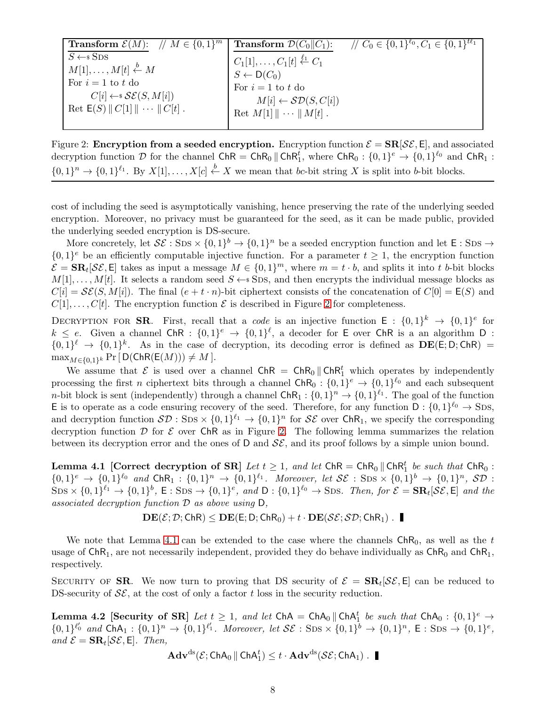| <b>Transform</b> $\mathcal{E}(M)$ : // $M \in \{0,1\}^m$ | <b>Transform</b> $\mathcal{D}(C_0  C_1)$ :          | $\mathcal{U} \subset \{0, 1\}^{\ell_0}, C_1 \in \{0, 1\}^{t\ell_1}$ |
|----------------------------------------------------------|-----------------------------------------------------|---------------------------------------------------------------------|
| $S \leftarrow s$ SDS                                     | $C_1[1],, C_1[t] \stackrel{\ell_1}{\leftarrow} C_1$ |                                                                     |
| $M[1], \ldots, M[t] \stackrel{b}{\leftarrow} M$          |                                                     |                                                                     |
| For $i=1$ to t do                                        | $S \leftarrow D(C_0)$<br>For $i = 1$ to t do        |                                                                     |
| $C[i] \leftarrow \mathcal{SE}(S, M[i])$                  | $M[i] \leftarrow \mathcal{SD}(S, C[i])$             |                                                                     |
| Ret $E(S)    C[1]    \cdots    C[t]$ .                   | Ret $M[1] \parallel \cdots \parallel M[t]$ .        |                                                                     |
|                                                          |                                                     |                                                                     |

<span id="page-7-0"></span>Figure 2: Encryption from a seeded encryption. Encryption function  $\mathcal{E} = \mathbf{SR}[\mathcal{SE}, \mathsf{E}]$ , and associated decryption function  $D$  for the channel  $\mathsf{ChR} = \mathsf{ChR}_0 \parallel \mathsf{ChR}_1^t$ , where  $\mathsf{ChR}_0 : \{0,1\}^e \to \{0,1\}^{\ell_0}$  and  $\mathsf{ChR}_1$ :  $\{0,1\}^n \to \{0,1\}^{\ell_1}$ . By  $X[1], \ldots, X[c] \stackrel{b}{\leftarrow} X$  we mean that bc-bit string X is split into b-bit blocks.

cost of including the seed is asymptotically vanishing, hence preserving the rate of the underlying seeded encryption. Moreover, no privacy must be guaranteed for the seed, as it can be made public, provided the underlying seeded encryption is DS-secure.

More concretely, let  $\mathcal{SE}: \text{SDs} \times \{0,1\}^b \to \{0,1\}^n$  be a seeded encryption function and let  $\mathsf{E}: \text{SDs} \to$  $\{0,1\}^e$  be an efficiently computable injective function. For a parameter  $t \geq 1$ , the encryption function  $\mathcal{E} = \mathbf{SR}_t[\mathcal{SE}, \mathsf{E}]$  takes as input a message  $M \in \{0, 1\}^m$ , where  $m = t \cdot b$ , and splits it into t b-bit blocks  $M[1], \ldots, M[t]$ . It selects a random seed  $S \leftarrow$  SDS, and then encrypts the individual message blocks as  $C[i] = \mathcal{SE}(S, M[i])$ . The final  $(e + t \cdot n)$ -bit ciphertext consists of the concatenation of  $C[0] = E(S)$  and  $C[1], \ldots, C[t]$ . The encryption function  $\mathcal E$  is described in Figure [2](#page-7-0) for completeness.

DECRYPTION FOR **SR**. First, recall that a *code* is an injective function  $E : \{0,1\}^k \to \{0,1\}^e$  for  $k \leq e$ . Given a channel ChR :  $\{0,1\}^e \rightarrow \{0,1\}^{\ell}$ , a decoder for E over ChR is a an algorithm D :  $\{0,1\}^{\ell} \rightarrow \{0,1\}^k$ . As in the case of decryption, its decoding error is defined as  $DE(E; D; ChR)$  =  $\max_{M \in \{0,1\}^k} \Pr[\, \mathsf{D}(\mathsf{ChR}(\mathsf{E}(M))) \neq M \,].$ 

We assume that  $\mathcal E$  is used over a channel ChR = ChR<sub>0</sub>  $\|\text{ChR}_1^t\|$  which operates by independently processing the first *n* ciphertext bits through a channel  $\text{ChR}_0: \{0,1\}^e \to \{0,1\}^{\ell_0}$  and each subsequent *n*-bit block is sent (independently) through a channel  $\text{ChR}_1: \{0,1\}^n \to \{0,1\}^{\ell_1}$ . The goal of the function E is to operate as a code ensuring recovery of the seed. Therefore, for any function  $D: \{0,1\}^{\ell_0} \to \text{SDs}$ , and decryption function  $\mathcal{SD}:$  SDs  $\times$   $\{0,1\}^{\ell_1} \to \{0,1\}^n$  for  $\mathcal{SE}$  over ChR<sub>1</sub>, we specify the corresponding decryption function  $D$  for  $\mathcal E$  over ChR as in Figure [2.](#page-7-0) The following lemma summarizes the relation between its decryption error and the ones of D and  $\mathcal{SE}$ , and its proof follows by a simple union bound.

<span id="page-7-1"></span>**Lemma 4.1** [Correct decryption of SR] Let  $t \geq 1$ , and let  $ChR = ChR_0 \parallel ChR_1^t$  be such that  $ChR_0$ :  $\{0,1\}^e \rightarrow \{0,1\}^{\ell_0}$  and  $\mathsf{ChR}_1: \{0,1\}^n \rightarrow \{0,1\}^{\ell_1}$ . Moreover, let  $\mathcal{SE}: \text{SDS} \times \{0,1\}^b \rightarrow \{0,1\}^n$ ,  $\mathcal{SD}:$  $SDS \times \{0,1\}^{\ell_1} \rightarrow \{0,1\}^b$ ,  $\mathsf{E}: SDS \rightarrow \{0,1\}^e$ , and  $\mathsf{D}: \{0,1\}^{\ell_0} \rightarrow SDS$ . Then, for  $\mathcal{E} = \mathbf{SR}_t[\mathcal{SE}, \mathsf{E}]$  and the *associated decryption function* <sup>D</sup> *as above using* <sup>D</sup>*,*

$$
\mathbf{DE}(\mathcal{E};\mathcal{D};\mathsf{ChR})\leq \mathbf{DE}(\mathsf{E};\mathsf{D};\mathsf{ChR}_0)+t\cdot \mathbf{DE}(\mathcal{SE};\mathcal{SD};\mathsf{ChR}_1)\;.
$$

We note that Lemma [4.1](#page-7-1) can be extended to the case where the channels  $ChR_0$ , as well as the t usage of  $ChR_1$ , are not necessarily independent, provided they do behave individually as  $ChR_0$  and  $ChR_1$ , respectively.

<span id="page-7-2"></span>SECURITY OF **SR**. We now turn to proving that DS security of  $\mathcal{E} = \mathbf{SR}_t[\mathcal{SE}, \mathsf{E}]$  can be reduced to DS-security of  $\mathcal{S}\mathcal{E}$ , at the cost of only a factor t loss in the security reduction.

**Lemma 4.2** [Security of SR] *Let*  $t \ge 1$ *, and let*  $ChA = ChA_0 \parallel ChA_1^t$  *be such that*  $ChA_0 : \{0,1\}^e \rightarrow$  $\{0,1\}^{\ell'_0}$  and  $\text{ChA}_1: \{0,1\}^n \to \{0,1\}^{\ell'_1}$ . Moreover, let  $\mathcal{SE}: \text{SDS} \times \{0,1\}^{\bar{b}} \to \{0,1\}^n$ ,  $\mathsf{E}: \text{SDS} \to \{0,1\}^e$ ,  $and \mathcal{E} = \mathbf{SR}_t[\mathcal{SE}, \mathsf{E}].$  Then,

$$
\mathbf{Adv}^{\mathrm{ds}}(\mathcal{E};\mathsf{ChA}_0\,\|\,\mathsf{ChA}_1^t) \leq t \cdot \mathbf{Adv}^{\mathrm{ds}}(\mathcal{SE};\mathsf{ChA}_1)\ .
$$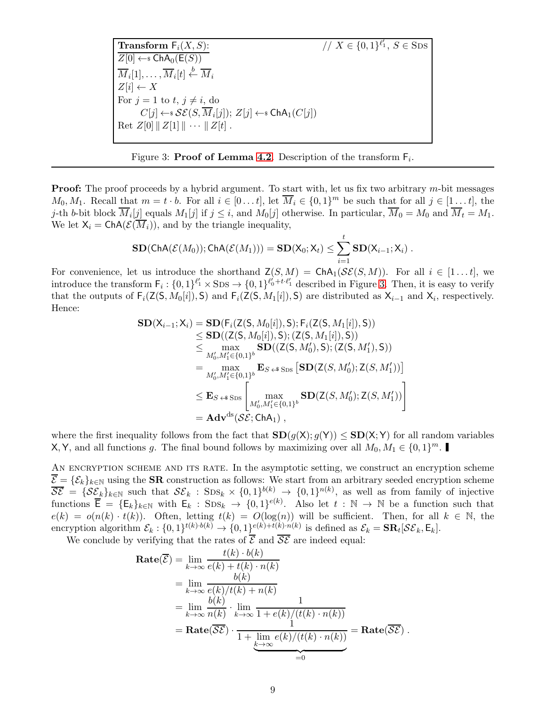**Transform**  $F_i(X, S)$ :  $\ell'_1, S \in$ SDS  $\overline{Z[0] \leftarrow \mathsf{s} \mathsf{ChA}_0(\mathsf{E}(S))}$  $\overline{M}_i[1], \ldots, \overline{M}_i[t] \stackrel{b}{\leftarrow} \overline{M}_i$  $Z[i] \leftarrow X$ For  $j = 1$  to  $t, j \neq i$ , do  $C[j] \leftarrow \$   $\mathcal{SE}(S, \overline{M}_i[j]); Z[j] \leftarrow \$  ChA<sub>1</sub> $(C[j])$ Ret  $Z[0]$   $\parallel$   $Z[1]$   $\parallel$   $\cdots$   $\parallel$   $Z[t]$ .

<span id="page-8-0"></span>

**Proof:** The proof proceeds by a hybrid argument. To start with, let us fix two arbitrary  $m$ -bit messages  $M_0, M_1$ . Recall that  $m = t \cdot b$ . For all  $i \in [0 \dots t]$ , let  $\overline{M}_i \in \{0, 1\}^m$  be such that for all  $j \in [1 \dots t]$ , the *j*-th *b*-bit block  $M_i[j]$  equals  $M_1[j]$  if  $j \leq i$ , and  $M_0[j]$  otherwise. In particular,  $M_0 = M_0$  and  $M_t = M_1$ . We let  $X_i = \text{ChA}(\mathcal{E}(\overline{M}_i))$ , and by the triangle inequality,

$$
\mathbf{SD}(\mathsf{ChA}(\mathcal{E}(M_0));\mathsf{ChA}(\mathcal{E}(M_1))) = \mathbf{SD}(\mathsf{X}_0;\mathsf{X}_t) \leq \sum_{i=1}^t \mathbf{SD}(\mathsf{X}_{i-1};\mathsf{X}_i) .
$$

For convenience, let us introduce the shorthand  $\mathsf{Z}(S,M) = \mathsf{ChA}_1(\mathcal{SE}(S,M))$ . For all  $i \in [1...t]$ , we introduce the transform  $F_i: \{0,1\}^{\ell'_1} \times \text{SDs} \to \{0,1\}^{\ell'_0 + t \cdot \ell'_1}$  described in Figure [3.](#page-8-0) Then, it is easy to verify that the outputs of  $F_i(Z(S, M_0[i]), S)$  and  $F_i(Z(S, M_1[i]), S)$  are distributed as  $X_{i-1}$  and  $X_i$ , respectively. Hence:

$$
\begin{aligned} \mathbf{SD}({\sf X}_{i-1};{\sf X}_i) &= \mathbf{SD}(\mathsf{F}_i(\mathsf{Z}(\mathsf{S},M_0[i]),\mathsf{S});\mathsf{F}_i(\mathsf{Z}(\mathsf{S},M_1[i]),\mathsf{S})) \\ &\leq \mathbf{SD}((\mathsf{Z}(\mathsf{S},M_0[i]),\mathsf{S});(\mathsf{Z}(\mathsf{S},M_1[i]),\mathsf{S})) \\ &\leq \max_{M_0',M_1'\in\{0,1\}^b} \mathbf{SD}((\mathsf{Z}(\mathsf{S},M_0'),\mathsf{S});(\mathsf{Z}(\mathsf{S},M_1'),\mathsf{S})) \\ &= \max_{M_0',M_1'\in\{0,1\}^b} \mathbf{E}_{S\prec\mathsf{s}\operatorname{SDS}} \left[\mathbf{SD}(\mathsf{Z}(S,M_0');\mathsf{Z}(S,M_1'))\right] \\ &\leq \mathbf{E}_{S\prec\mathsf{s}\operatorname{SDS}} \left[\max_{M_0',M_1'\in\{0,1\}^b} \mathbf{SD}(\mathsf{Z}(S,M_0');\mathsf{Z}(S,M_1'))\right] \\ &= \mathbf{Adv}^{\text{ds}}(\mathcal{SE};\mathsf{ChA}_1)\,,\end{aligned}
$$

where the first inequality follows from the fact that  $SD(g(X); g(Y)) \leq SD(X; Y)$  for all random variables **X**, Y, and all functions g. The final bound follows by maximizing over all  $M_0, M_1 \in \{0, 1\}^m$ .

AN ENCRYPTION SCHEME AND ITS RATE. In the asymptotic setting, we construct an encryption scheme  $\overline{\mathcal{E}} = {\{\mathcal{E}_k\}_{k\in\mathbb{N}}}$  using the **SR** construction as follows: We start from an arbitrary seeded encryption scheme  $\overline{\mathcal{S}\mathcal{E}} = \{\mathcal{S}\underline{\mathcal{E}}_k\}_{k\in\mathbb{N}}$  such that  $\mathcal{S}\mathcal{E}_k$ :  $\text{SDs}_k \times \{0,1\}^{b(k)} \to \{0,1\}^{n(k)}$ , as well as from family of injective functions  $\overline{\mathsf{E}} = {\mathsf{E}_k}_{k\in\mathbb{N}}$  with  $\mathsf{E}_k$ :  $\text{SDS}_k \to \{0,1\}^{e(k)}$ . Also let  $t : \mathbb{N} \to \mathbb{N}$  be a function such that  $e(k) = o(n(k) \cdot t(k))$ . Often, letting  $t(k) = O(\log(n))$  will be sufficient. Then, for all  $k \in \mathbb{N}$ , the encryption algorithm  $\mathcal{E}_k: \{0,1\}^{t(k)\cdot b(k)} \to \{0,1\}^{e(k)+t(k)\cdot n(k)}$  is defined as  $\mathcal{E}_k = \mathbf{SR}_t[\mathcal{SE}_k, \mathsf{E}_k]$ .

We conclude by verifying that the rates of  $\overline{\mathcal{E}}$  and  $\overline{\mathcal{SE}}$  are indeed equal:

$$
\begin{aligned} \mathbf{Rate}(\overline{\mathcal{E}}) &= \lim_{k \to \infty} \frac{t(k) \cdot b(k)}{e(k) + t(k) \cdot n(k)} \\ &= \lim_{k \to \infty} \frac{b(k)}{e(k)/t(k) + n(k)} \\ &= \lim_{k \to \infty} \frac{b(k)}{n(k)} \cdot \lim_{k \to \infty} \frac{1}{1 + e(k)/(t(k) \cdot n(k))} \\ &= \mathbf{Rate}(\overline{\mathcal{SE}}) \cdot \frac{1}{1 + \lim_{k \to \infty} e(k)/(t(k) \cdot n(k))} = \mathbf{Rate}(\overline{\mathcal{SE}}) \,. \end{aligned}
$$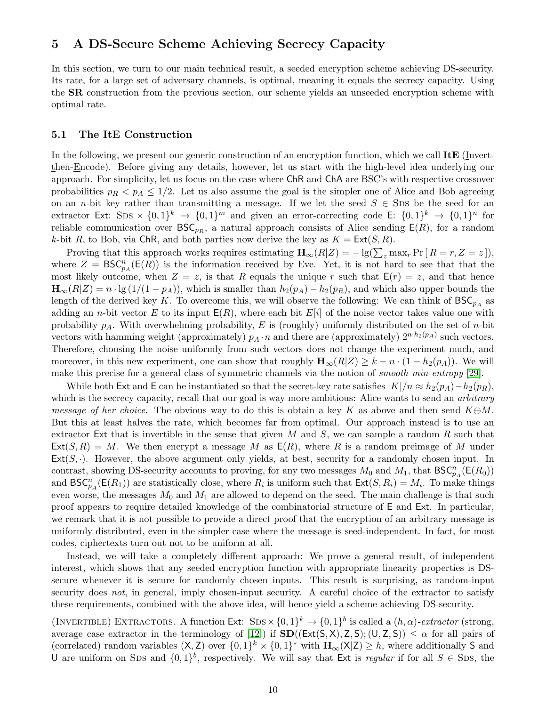## <span id="page-9-2"></span><span id="page-9-0"></span>5 A DS-Secure Scheme Achieving Secrecy Capacity

In this section, we turn to our main technical result, a seeded encryption scheme achieving DS-security. Its rate, for a large set of adversary channels, is optimal, meaning it equals the secrecy capacity. Using the SR construction from the previous section, our scheme yields an unseeded encryption scheme with optimal rate.

#### <span id="page-9-1"></span>5.1 The ItE Construction

In the following, we present our generic construction of an encryption function, which we call  $\text{ItE}$  (Invertthen-Encode). Before giving any details, however, let us start with the high-level idea underlying our approach. For simplicity, let us focus on the case where ChR and ChA are BSC's with respective crossover probabilities  $p_R < p_A \leq 1/2$ . Let us also assume the goal is the simpler one of Alice and Bob agreeing on an n-bit key rather than transmitting a message. If we let the seed  $S \in \text{SDs}$  be the seed for an extractor Ext: SDS  $\times \{0,1\}^k$   $\to \{0,1\}^m$  and given an error-correcting code E:  $\{0,1\}^k$   $\to \{0,1\}^n$  for reliable communication over  $\mathsf{BSC}_{pR}$ , a natural approach consists of Alice sending  $\mathsf{E}(R)$ , for a random k-bit R, to Bob, via ChR, and both parties now derive the key as  $K = \text{Ext}(S, R)$ .

Proving that this approach works requires estimating  $\mathbf{H}_{\infty}(R|Z) = -\lg(\sum_{z} \max_{r} \Pr[R=r, Z=z]),$ where  $Z = \text{BSC}_{p_A}^n(\text{E}(R))$  is the information received by Eve. Yet, it is not hard to see that that the most likely outcome, when  $Z = z$ , is that R equals the unique r such that  $E(r) = z$ , and that hence  $\mathbf{H}_{\infty}(R|Z) = n \cdot \lg(1/(1 - p_A))$ , which is smaller than  $h_2(p_A) - h_2(p_R)$ , and which also upper bounds the length of the derived key K. To overcome this, we will observe the following: We can think of  $BSC_{p_A}$  as adding an *n*-bit vector E to its input  $E(R)$ , where each bit  $E[i]$  of the noise vector takes value one with probability  $p_A$ . With overwhelming probability, E is (roughly) uniformly distributed on the set of *n*-bit vectors with hamming weight (approximately)  $p_A \cdot n$  and there are (approximately)  $2^{n \cdot h_2(p_A)}$  such vectors. Therefore, choosing the noise uniformly from such vectors does not change the experiment much, and moreover, in this new experiment, one can show that roughly  $\mathbf{H}_{\infty}(R|Z) \geq k - n \cdot (1 - h_2(p_A))$ . We will make this precise for a general class of symmetric channels via the notion of *smooth min-entropy* [\[29\]](#page-17-8).

While both Ext and E can be instantiated so that the secret-key rate satisfies  $|K|/n \approx h_2(p_A) - h_2(p_R)$ , which is the secrecy capacity, recall that our goal is way more ambitious: Alice wants to send an *arbitrary message of her choice*. The obvious way to do this is obtain a key K as above and then send  $K \oplus M$ . But this at least halves the rate, which becomes far from optimal. Our approach instead is to use an extractor Ext that is invertible in the sense that given M and S, we can sample a random R such that  $\textsf{Ext}(S, R) = M$ . We then encrypt a message M as  $\textsf{E}(R)$ , where R is a random preimage of M under  $Ext(S, \cdot)$ . However, the above argument only yields, at best, security for a randomly chosen input. In contrast, showing DS-security accounts to proving, for any two messages  $M_0$  and  $M_1$ , that  $BSC_{pA}^n(\mathsf{E}(R_0))$ and  $BSC_{pA}^{n}(E(R_1))$  are statistically close, where  $R_i$  is uniform such that  $Ext(S, R_i) = M_i$ . To make things even worse, the messages  $M_0$  and  $M_1$  are allowed to depend on the seed. The main challenge is that such proof appears to require detailed knowledge of the combinatorial structure of E and Ext. In particular, we remark that it is not possible to provide a direct proof that the encryption of an arbitrary message is uniformly distributed, even in the simpler case where the message is seed-independent. In fact, for most codes, ciphertexts turn out not to be uniform at all.

Instead, we will take a completely different approach: We prove a general result, of independent interest, which shows that any seeded encryption function with appropriate linearity properties is DSsecure whenever it is secure for randomly chosen inputs. This result is surprising, as random-input security does *not*, in general, imply chosen-input security. A careful choice of the extractor to satisfy these requirements, combined with the above idea, will hence yield a scheme achieving DS-security.

(INVERTIBLE) EXTRACTORS. A function Ext:  $\text{SDS} \times \{0, 1\}^k \to \{0, 1\}^b$  is called a  $(h, \alpha)$ -extractor (strong, average case extractor in the terminology of [\[12\]](#page-17-9)) if  $\text{SD}((\text{Ext}(S,X), Z, S); (U, Z, S)) \leq \alpha$  for all pairs of (correlated) random variables  $(X, Z)$  over  $\{0, 1\}^k \times \{0, 1\}^*$  with  $H_{\infty}(X|Z) \geq h$ , where additionally S and U are uniform on SDS and  $\{0,1\}^b$ , respectively. We will say that Ext is *regular* if for all  $S \in$  SDS, the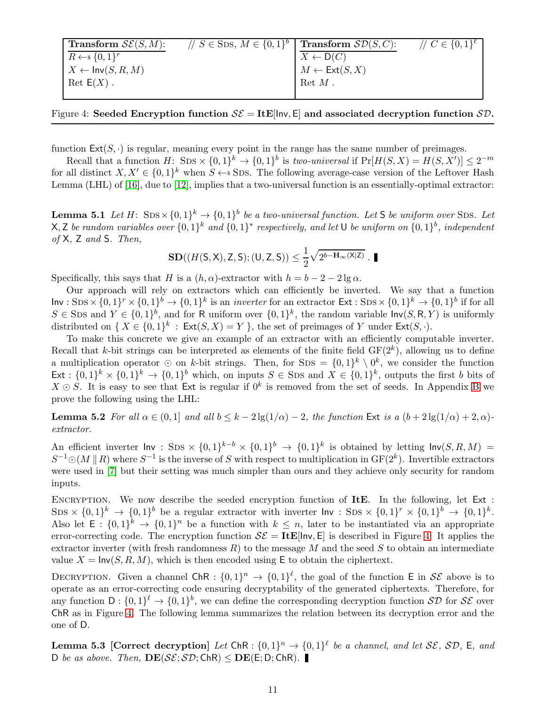<span id="page-10-3"></span>

| <b>Transform</b> $\mathcal{SE}(S, M)$ : | $\#S \in$ SDS, $M \in \{0,1\}^b$   Transform $\mathcal{SD}(S, C)$ : |                                   | // $C \in \{0,1\}^{\ell}$ |
|-----------------------------------------|---------------------------------------------------------------------|-----------------------------------|---------------------------|
| $R \leftarrow \{0,1\}^r$                |                                                                     | $X \leftarrow D(C)$               |                           |
| $X \leftarrow \textsf{Inv}(S, R, M)$    |                                                                     | $M \leftarrow \textsf{Ext}(S, X)$ |                           |
| $\mathrm{Ret} \mathsf{E}(X)$ .          |                                                                     | $\operatorname{Ret} M$ .          |                           |
|                                         |                                                                     |                                   |                           |

<span id="page-10-1"></span>Figure 4: Seeded Encryption function  $\mathcal{SE} = \text{ItE}$ [|nv, E] and associated decryption function  $\mathcal{SD}$ .

function  $\text{Ext}(S, \cdot)$  is regular, meaning every point in the range has the same number of preimages.

Recall that a function  $H: \text{SDS} \times \{0, 1\}^k \to \{0, 1\}^b$  is *two-universal* if  $\Pr[H(S, X) = H(S, X')] \leq 2^{-m}$ for all distinct  $X, X' \in \{0,1\}^k$  when  $S \leftarrow$  SDS. The following average-case version of the Leftover Hash Lemma (LHL) of [\[16\]](#page-17-10), due to [\[12\]](#page-17-9), implies that a two-universal function is an essentially-optimal extractor:

<span id="page-10-4"></span>**Lemma 5.1** Let  $H: \text{SDS} \times \{0, 1\}^k \rightarrow \{0, 1\}^b$  be a two-universal function. Let S be uniform over SDS. Let  $\mathsf{X}, \mathsf{Z}$  *be random variables over*  $\{0,1\}^k$  *and*  $\{0,1\}^*$  *respectively, and let*  $\mathsf{U}$  *be uniform on*  $\{0,1\}^b$ *, independent of* X*,* Z *and* S*. Then,*

<span id="page-10-0"></span>
$$
\mathbf{SD}((H(\mathsf{S},\mathsf{X}),\mathsf{Z},\mathsf{S});(\mathsf{U},\mathsf{Z},\mathsf{S})) \leq \frac{1}{2}\sqrt{2^{b-\mathbf{H}_{\infty}(\mathsf{X}|\mathsf{Z})}}\,.
$$

Specifically, this says that H is a  $(h, \alpha)$ -extractor with  $h = b - 2 - 2 \lg \alpha$ .

Our approach will rely on extractors which can efficiently be inverted. We say that a function  $\textsf{Inv}: \text{SDS} \times \{0,1\}^r \times \{0,1\}^b \to \{0,1\}^k$  is an *inverter* for an extractor  $\textsf{Ext}: \text{SDS} \times \{0,1\}^k \to \{0,1\}^b$  if for all  $S \in \text{SDS}$  and  $Y \in \{0,1\}^b$ , and for R uniform over  $\{0,1\}^k$ , the random variable  $\text{Inv}(S, R, Y)$  is uniformly distributed on  $\{X \in \{0,1\}^k : \text{Ext}(S,X) = Y\}$ , the set of preimages of Y under  $\text{Ext}(S,\cdot)$ .

To make this concrete we give an example of an extractor with an efficiently computable inverter. Recall that k-bit strings can be interpreted as elements of the finite field  $GF(2<sup>k</sup>)$ , allowing us to define a multiplication operator ⊙ on k-bit strings. Then, for SDS =  $\{0,1\}^k \setminus 0^k$ , we consider the function  $\text{Ext}: \{0,1\}^k \times \{0,1\}^k \to \{0,1\}^b$  which, on inputs  $S \in \text{SDS}$  and  $X \in \{0,1\}^k$ , outputs the first b bits of  $X \odot S$ . It is easy to see that Ext is regular if  $0^k$  is removed from the set of seeds. In Appendix [B](#page-19-0) we prove the following using the LHL:

Lemma 5.2 *For all*  $\alpha \in (0,1]$  *and all*  $b \leq k-2\lg(1/\alpha) - 2$ , the function Ext is a  $(b+2\lg(1/\alpha) + 2, \alpha)$ *extractor.*

An efficient inverter  $\text{Inv}$ : SDS ×  $\{0,1\}^{k-b}$  ×  $\{0,1\}^{b}$  →  $\{0,1\}^{k}$  is obtained by letting  $\text{Inv}(S, R, M)$  =  $S^{-1}\odot (M \parallel R)$  where  $S^{-1}$  is the inverse of S with respect to multiplication in  $GF(2<sup>k</sup>)$ . Invertible extractors were used in [\[7\]](#page-16-5) but their setting was much simpler than ours and they achieve only security for random inputs.

ENCRYPTION. We now describe the seeded encryption function of ItE. In the following, let  $Ext :$  $\text{SDS} \times \{0,1\}^k \to \{0,1\}^b$  be a regular extractor with inverter  $\text{Inv}: \text{SDS} \times \{0,1\}^r \times \{0,1\}^b \to \{0,1\}^k$ . Also let  $E: \{0,1\}^k \to \{0,1\}^n$  be a function with  $k \leq n$ , later to be instantiated via an appropriate error-correcting code. The encryption function  $\mathcal{SE} = \textbf{ItE}[\ln v, E]$  is described in Figure [4:](#page-10-1) It applies the extractor inverter (with fresh randomness R) to the message M and the seed S to obtain an intermediate value  $X = \text{Inv}(S, R, M)$ , which is then encoded using E to obtain the ciphertext.

DECRYPTION. Given a channel ChR :  $\{0,1\}^n \to \{0,1\}^{\ell}$ , the goal of the function E in  $\mathcal{SE}$  above is to operate as an error-correcting code ensuring decryptability of the generated ciphertexts. Therefore, for any function  $D: \{0,1\}^{\ell} \to \{0,1\}^b$ , we can define the corresponding decryption function  $\mathcal{SD}$  for  $\mathcal{SE}$  over ChR as in Figure [4.](#page-10-1) The following lemma summarizes the relation between its decryption error and the one of D.

<span id="page-10-2"></span>**Lemma 5.3** [Correct decryption] Let ChR :  $\{0,1\}^n \rightarrow \{0,1\}^{\ell}$  be a channel, and let SE, SD, E, and D *be as above.* Then,  $DE(\mathcal{S}\mathcal{E}; \mathcal{SD}; \mathsf{ChR}) < DE(E; D; \mathsf{ChR})$ .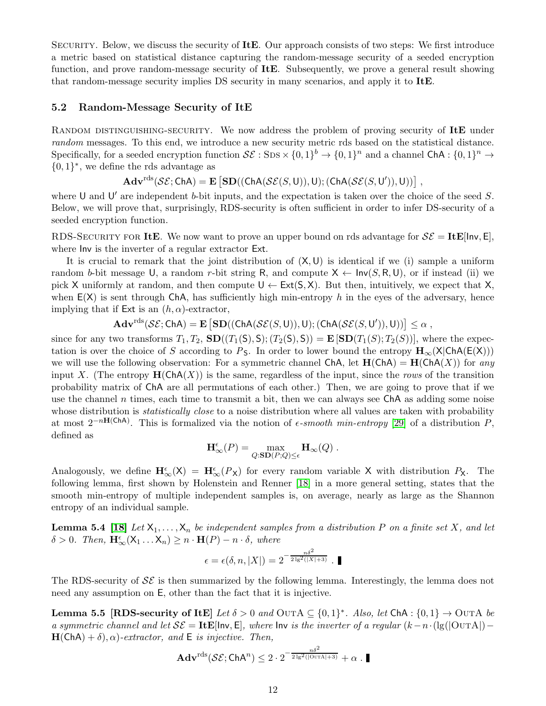<span id="page-11-3"></span>Security. Below, we discuss the security of ItE. Our approach consists of two steps: We first introduce a metric based on statistical distance capturing the random-message security of a seeded encryption function, and prove random-message security of ItE. Subsequently, we prove a general result showing that random-message security implies DS security in many scenarios, and apply it to ItE.

#### <span id="page-11-0"></span>5.2 Random-Message Security of ItE

RANDOM DISTINGUISHING-SECURITY. We now address the problem of proving security of ItE under *random* messages. To this end, we introduce a new security metric rds based on the statistical distance. Specifically, for a seeded encryption function  $\mathcal{SE}: \text{SDS} \times \{0,1\}^b \to \{0,1\}^n$  and a channel ChA :  $\{0,1\}^n \to$  $\{0,1\}^*,$  we define the rds advantage as

 $\mathbf{Adv}^{\text{rds}}(\mathcal{SE};\mathsf{ChA}) = \mathbf{E}\left[\mathbf{SD}((\mathsf{ChA}(\mathcal{SE}(S,\mathsf{U})),\mathsf{U});(\mathsf{ChA}(\mathcal{SE}(S,\mathsf{U}')), \mathsf{U}))\right],$ 

where U and U' are independent b-bit inputs, and the expectation is taken over the choice of the seed  $S$ . Below, we will prove that, surprisingly, RDS-security is often sufficient in order to infer DS-security of a seeded encryption function.

RDS-SECURITY FOR ItE. We now want to prove an upper bound on rds advantage for  $\mathcal{SE} = \text{ItE}$ [lnv, E], where Inv is the inverter of a regular extractor Ext.

It is crucial to remark that the joint distribution of  $(X, U)$  is identical if we (i) sample a uniform random b-bit message U, a random r-bit string R, and compute  $X \leftarrow \text{Inv}(S, R, U)$ , or if instead (ii) we pick X uniformly at random, and then compute  $U \leftarrow Ext(S, X)$ . But then, intuitively, we expect that X, when  $E(X)$  is sent through ChA, has sufficiently high min-entropy h in the eyes of the adversary, hence implying that if  $Ext$  is an  $(h, \alpha)$ -extractor,

 $\mathbf{Adv}^{\text{rds}}(\mathcal{SE};\mathsf{ChA}) = \mathbf{E}\left[\mathbf{SD}((\mathsf{ChA}(\mathcal{SE}(S,\mathsf{U})),\mathsf{U});(\mathsf{ChA}(\mathcal{SE}(S,\mathsf{U}')), \mathsf{U}))\right] \leq \alpha,$ 

since for any two transforms  $T_1, T_2$ ,  $\text{SD}((T_1(\text{S}), \text{S}); (T_2(\text{S}), \text{S})) = \text{E}[\text{SD}(T_1(\text{S}); T_2(\text{S}))]$ , where the expectation is over the choice of S according to  $P_S$ . In order to lower bound the entropy  $\mathbf{H}_{\infty}(X|ChA(E(X)))$ we will use the following observation: For a symmetric channel ChA, let  $H(ChA) = H(ChA(X))$  for *any* input X. (The entropy  $\mathbf{H}(\mathsf{ChA}(X))$  is the same, regardless of the input, since the *rows* of the transition probability matrix of ChA are all permutations of each other.) Then, we are going to prove that if we use the channel  $n$  times, each time to transmit a bit, then we can always see ChA as adding some noise whose distribution is *statistically close* to a noise distribution where all values are taken with probability at most  $2^{-nH(ChA)}$ . This is formalized via the notion of  $\epsilon$ -smooth min-entropy [\[29\]](#page-17-8) of a distribution P, defined as

$$
\mathbf{H}^\epsilon_\infty(P) = \max_{Q:\mathbf{SD}(P;Q)\leq\epsilon} \mathbf{H}_\infty(Q) .
$$

Analogously, we define  $\mathbf{H}_{\infty}^{\epsilon}(X) = \mathbf{H}_{\infty}^{\epsilon}(P_{X})$  for every random variable X with distribution  $P_{X}$ . The following lemma, first shown by Holenstein and Renner [\[18\]](#page-17-11) in a more general setting, states that the smooth min-entropy of multiple independent samples is, on average, nearly as large as the Shannon entropy of an individual sample.

<span id="page-11-2"></span>**Lemma 5.4** [\[18\]](#page-17-11) Let  $X_1, \ldots, X_n$  be independent samples from a distribution P on a finite set X, and let  $\delta > 0$ . Then,  $\mathbf{H}_{\infty}^{\epsilon}(X_1 \dots X_n) \geq n \cdot \mathbf{H}(P) - n \cdot \delta$ , where

$$
\epsilon = \epsilon(\delta, n, |X|) = 2^{-\frac{n\delta^2}{2\lg^2(|X|+3)}}.
$$

<span id="page-11-1"></span>The RDS-security of  $\mathcal{SE}$  is then summarized by the following lemma. Interestingly, the lemma does not need any assumption on E, other than the fact that it is injective.

Lemma 5.5 [RDS-security of ItE] *Let*  $\delta > 0$  *and* OUTA  $\subseteq \{0,1\}^*$ . *Also, let* ChA :  $\{0,1\} \to$  OUTA *be a symmetric channel and let*  $\mathcal{S}\mathcal{E} = \mathbf{ItE}[\mathsf{Inv}, \mathsf{E}]$ *, where*  $\mathsf{Inv}$  *is the inverter of a regular*  $(k - n \cdot (\lg(|\mathsf{OUTA}|) - \lg(|\mathsf{OUTA}|))$  $H(ChA) + \delta$ ,  $\alpha$ )-extractor, and E is injective. Then,

$$
\mathbf{Adv}^{\mathrm{rds}}(\mathcal{SE};\mathsf{ChA}^n) \leq 2 \cdot 2^{-\frac{n\delta^2}{2 \lg^2(|\mathrm{OurA}|+3)}} + \alpha \cdot \blacksquare
$$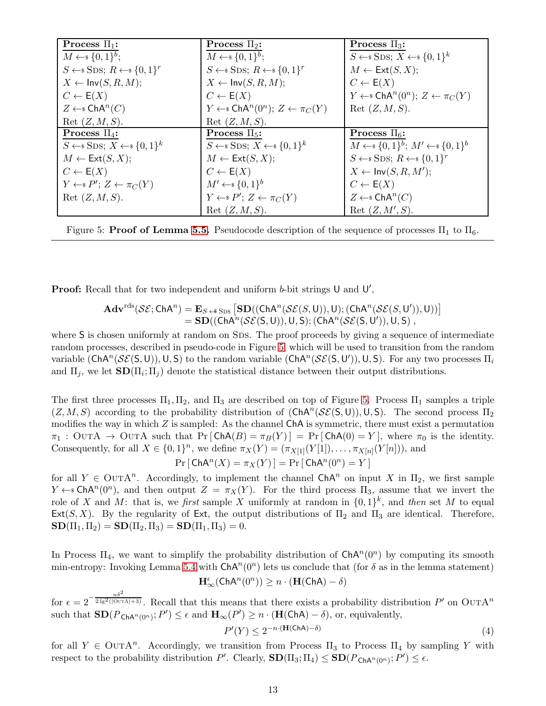| Process $\Pi_1$ :                                      | Process $\Pi_2$ :                                                          | Process $\Pi_3$ :                                           |
|--------------------------------------------------------|----------------------------------------------------------------------------|-------------------------------------------------------------|
| $M \leftarrow \{0,1\}^b$ ;                             | $M \leftarrow \{0,1\}^b$ ;                                                 | $S \leftarrow$ SDS; $X \leftarrow$ {0,1} <sup>k</sup>       |
| $S \leftarrow$ SDS; $R \leftarrow$ {0,1} <sup>r</sup>  | $S \leftarrow$ SDS; $R \leftarrow$ {0,1} <sup>r</sup>                      | $M \leftarrow \mathsf{Ext}(S, X);$                          |
| $X \leftarrow Inv(S, R, M);$                           | $X \leftarrow Inv(S, R, M);$                                               | $C \leftarrow E(X)$                                         |
| $C \leftarrow E(X)$                                    | $C \leftarrow E(X)$                                                        | $Y \leftarrow \in \text{ChA}^n(0^n); Z \leftarrow \pi_C(Y)$ |
| $Z \leftarrow$ ChA <sup>n</sup> (C)                    | $Y \leftarrow$ ChA <sup>n</sup> (0 <sup>n</sup> ); $Z \leftarrow \pi_C(Y)$ | Ret $(Z, M, S)$ .                                           |
| Ret $(Z, M, S)$ .                                      | Ret $(Z, M, S)$ .                                                          |                                                             |
| Process $\Pi_4$ :                                      | Process $\Pi_5$ :                                                          | Process $\Pi_6$ :                                           |
| $S \leftarrow$ SDS; $X \leftarrow$ {0, 1} <sup>k</sup> | $S \leftarrow$ SDS; $X \leftarrow$ {0,1} <sup>k</sup>                      | $M \leftarrow \{0,1\}^b$ ; $M' \leftarrow \{0,1\}^b$        |
| $M \leftarrow \mathsf{Ext}(S, X);$                     | $M \leftarrow \mathsf{Ext}(S, X);$                                         | $S \leftarrow$ SDS; $R \leftarrow$ {0,1} <sup>r</sup>       |
| $C \leftarrow E(X)$                                    | $C \leftarrow E(X)$                                                        | $X \leftarrow Inv(S, R, M');$                               |
| $Y \leftarrow P'; Z \leftarrow \pi_C(Y)$               | $M' \leftarrow \{0,1\}^b$                                                  | $C \leftarrow E(X)$                                         |
| Ret $(Z, M, S)$ .                                      | $Y \leftarrow P'; Z \leftarrow \pi_C(Y)$                                   | $Z \leftarrow$ ChA <sup>n</sup> (C)                         |
|                                                        | Ret(Z, M, S).                                                              | Ret $(Z, M', S)$ .                                          |

<span id="page-12-0"></span>Figure 5: **Proof of Lemma [5.5.](#page-11-1)** Pseudocode description of the sequence of processes  $\Pi_1$  to  $\Pi_6$ .

**Proof:** Recall that for two independent and uniform  $b$ -bit strings  $\mathsf{U}$  and  $\mathsf{U}'$ ,

$$
\begin{array}{lll} \mathbf{Adv}^{\text{rds}}(\mathcal{SE};\mathsf{ChA}^n)=\mathbf{E}_{S\;\leftrightarrow\;\text{SDS}}\left[\mathbf{SD}((\mathsf{ChA}^n(\mathcal{SE}(S,\mathsf{U})),\mathsf{U});(\mathsf{ChA}^n(\mathcal{SE}(S,\mathsf{U}')), \mathsf{U}))\right]\\ =\mathbf{SD}((\mathsf{ChA}^n(\mathcal{SE}(S,\mathsf{U})),\mathsf{U},\mathsf{S});(\mathsf{ChA}^n(\mathcal{SE}(S,\mathsf{U}')), \mathsf{U},\mathsf{S})\;,\end{array}
$$

where S is chosen uniformly at random on SDS. The proof proceeds by giving a sequence of intermediate random processes, described in pseudo-code in Figure [5,](#page-12-0) which will be used to transition from the random variable  $(\mathsf{ChA}^n(\mathcal{SE}(S,U)), U, S)$  to the random variable  $(\mathsf{ChA}^n(\mathcal{SE}(S,U')), U, S)$ . For any two processes  $\Pi_i$ and  $\Pi_j$ , we let  $SD(\Pi_i; \Pi_j)$  denote the statistical distance between their output distributions.

The first three processes  $\Pi_1, \Pi_2$ , and  $\Pi_3$  are described on top of Figure [5.](#page-12-0) Process  $\Pi_1$  samples a triple  $(Z, M, S)$  according to the probability distribution of  $(ChA<sup>n</sup>(\mathcal{SE}(S, U)), U, S)$ . The second process  $\Pi_2$ modifies the way in which  $Z$  is sampled: As the channel ChA is symmetric, there must exist a permutation  $\pi_1$  : OUTA  $\rightarrow$  OUTA such that Pr [ChA(B) =  $\pi_B(Y)$ ] = Pr [ChA(0) = Y], where  $\pi_0$  is the identity. Consequently, for all  $X \in \{0,1\}^n$ , we define  $\pi_X(Y) = (\pi_{X[1]}(Y[1]), \ldots, \pi_{X[n]}(Y[n]))$ , and  $Pr[\text{ChA}^n(X) = \pi_X(Y)] = Pr[\text{ChA}^n(0^n) = Y]$ 

for all  $Y \in$  OUTA<sup>n</sup>. Accordingly, to implement the channel ChA<sup>n</sup> on input X in  $\Pi_2$ , we first sample  $Y \leftarrow s \text{ChA}^n(0^n)$ , and then output  $Z = \pi_X(Y)$ . For the third process  $\Pi_3$ , assume that we invert the role of X and M: that is, we *first* sample X uniformly at random in  $\{0,1\}^k$ , and *then* set M to equal Ext(S, X). By the regularity of Ext, the output distributions of  $\Pi_2$  and  $\Pi_3$  are identical. Therefore,  $\text{SD}(\Pi_1, \Pi_2) = \text{SD}(\Pi_2, \Pi_3) = \text{SD}(\Pi_1, \Pi_3) = 0.$ 

In Process  $\Pi_4$ , we want to simplify the probability distribution of  $\mathsf{ChA}^n(0^n)$  by computing its smooth min-entropy: Invoking Lemma [5.4](#page-11-2) with  $\mathsf{ChA}^n(0^n)$  lets us conclude that (for  $\delta$  as in the lemma statement)

$$
\mathbf{H}^\epsilon_\infty({\sf ChA}^n(0^n))\geq n\cdot(\mathbf{H}({\sf ChA})-\delta)
$$

for  $\epsilon = 2^{-\frac{n\delta^2}{2 \lg^2((\text{Our }A|+3))}}$ . Recall that this means that there exists a probability distribution P' on OUTA<sup>n</sup> such that  $\mathbf{SD}(P_{\mathsf{ChA}^n(0^n)}; P') \leq \epsilon$  and  $\mathbf{H}_{\infty}(P') \geq n \cdot (\mathbf{H}(\mathsf{ChA}) - \delta)$ , or, equivalently,

<span id="page-12-1"></span>
$$
P'(Y) \le 2^{-n \cdot (\mathbf{H}(\mathsf{ChA}) - \delta)}\tag{4}
$$

for all  $Y \in \text{Out}A^n$ . Accordingly, we transition from Process  $\Pi_3$  to Process  $\Pi_4$  by sampling Y with respect to the probability distribution P'. Clearly,  $\text{SD}(\Pi_3; \Pi_4) \leq \text{SD}(P_{\text{ChA}^n(0^n)}; P') \leq \epsilon$ .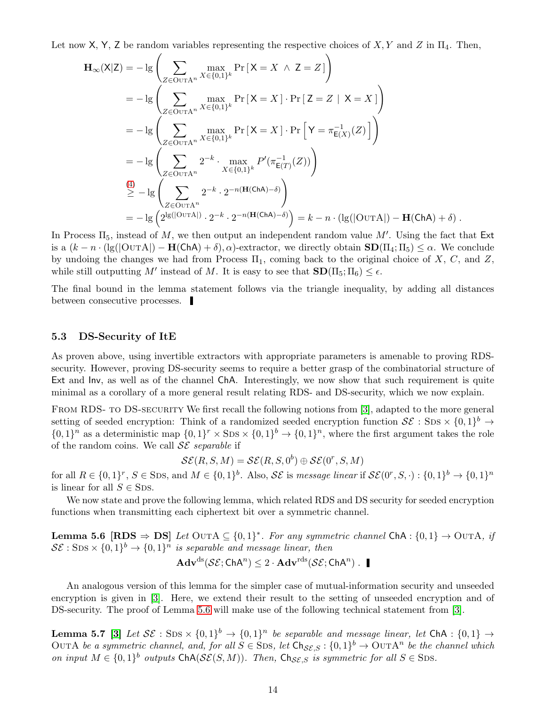<span id="page-13-3"></span>Let now X, Y, Z be random variables representing the respective choices of  $X, Y$  and Z in  $\Pi_4$ . Then,

$$
\mathbf{H}_{\infty}(\mathsf{X}|\mathsf{Z}) = -\lg \left( \sum_{Z \in \text{OUTA}^n} \max_{X \in \{0,1\}^k} \Pr\left[\mathsf{X} = X \land \mathsf{Z} = Z\right] \right)
$$
  
\n
$$
= -\lg \left( \sum_{Z \in \text{OUTA}^n} \max_{X \in \{0,1\}^k} \Pr\left[\mathsf{X} = X\right] \cdot \Pr\left[\mathsf{Z} = Z \mid \mathsf{X} = X\right] \right)
$$
  
\n
$$
= -\lg \left( \sum_{Z \in \text{OUTA}^n} \max_{X \in \{0,1\}^k} \Pr\left[\mathsf{X} = X\right] \cdot \Pr\left[\mathsf{Y} = \pi_{\mathsf{E}(X)}^{-1}(\mathsf{Z})\right] \right)
$$
  
\n
$$
= -\lg \left( \sum_{Z \in \text{OUTA}^n} 2^{-k} \cdot \max_{X \in \{0,1\}^k} P'(\pi_{\mathsf{E}(T)}^{-1}(\mathsf{Z})) \right)
$$
  
\n
$$
\stackrel{(4)}{\geq} - \lg \left( \sum_{Z \in \text{OUTA}^n} 2^{-k} \cdot 2^{-n(\mathbf{H}(\mathsf{ChA}) - \delta)} \right)
$$
  
\n
$$
= -\lg \left( 2^{\lg(|\text{OUTA}|)} \cdot 2^{-k} \cdot 2^{-n(\mathbf{H}(\mathsf{ChA}) - \delta)} \right) = k - n \cdot (\lg(|\text{OUTA}|) - \mathbf{H}(\mathsf{ChA}) + \delta) .
$$

In Process  $\Pi_5$ , instead of M, we then output an independent random value M'. Using the fact that Ext is a  $(k - n \cdot (\lg(\vert \text{OUTA} \vert) - \textbf{H}(\text{ChA}) + \delta), \alpha)$ -extractor, we directly obtain  $SD(\Pi_4; \Pi_5) \leq \alpha$ . We conclude by undoing the changes we had from Process  $\Pi_1$ , coming back to the original choice of X, C, and Z, while still outputting M' instead of M. It is easy to see that  $\text{SD}(\Pi_5; \Pi_6) \leq \epsilon$ .

The final bound in the lemma statement follows via the triangle inequality, by adding all distances between consecutive processes.

#### <span id="page-13-0"></span>5.3 DS-Security of ItE

As proven above, using invertible extractors with appropriate parameters is amenable to proving RDSsecurity. However, proving DS-security seems to require a better grasp of the combinatorial structure of Ext and Inv, as well as of the channel ChA. Interestingly, we now show that such requirement is quite minimal as a corollary of a more general result relating RDS- and DS-security, which we now explain.

FROM RDS- TO DS-SECURITY We first recall the following notions from [\[3\]](#page-16-1), adapted to the more general setting of seeded encryption: Think of a randomized seeded encryption function  $S\mathcal{E}:$  SDS  $\times \{0,1\}^b \to$  $\{0,1\}^n$  as a deterministic map  $\{0,1\}^r \times \text{SDS} \times \{0,1\}^b \rightarrow \{0,1\}^n$ , where the first argument takes the role of the random coins. We call SE *separable* if

$$
\mathcal{SE}(R, S, M) = \mathcal{SE}(R, S, 0^b) \oplus \mathcal{SE}(0^r, S, M)
$$

for all  $R \in \{0,1\}^r$ ,  $S \in$  SDS, and  $M \in \{0,1\}^b$ . Also,  $\mathcal{SE}$  is *message linear* if  $\mathcal{SE}(0^r, S, \cdot) : \{0,1\}^b \to \{0,1\}^n$ is linear for all  $S \in$  SDS.

<span id="page-13-1"></span>We now state and prove the following lemma, which related RDS and DS security for seeded encryption functions when transmitting each ciphertext bit over a symmetric channel.

**Lemma 5.6**  $[\text{RDS} \Rightarrow \text{DS}]$  *Let* OUTA ⊆ {0,1}<sup>\*</sup>*. For any symmetric channel* ChA : {0,1} → OUTA*, if*  $\mathcal{S}\mathcal{E}: \textnormal{SDS} \times \{0,1\}^b \rightarrow \{0,1\}^n$  is separable and message linear, then

$$
\mathbf{Adv}^{\mathrm{ds}}(\mathcal{SE};\mathsf{ChA}^n) \leq 2 \cdot \mathbf{Adv}^{\mathrm{rds}}(\mathcal{SE};\mathsf{ChA}^n) .
$$

An analogous version of this lemma for the simpler case of mutual-information security and unseeded encryption is given in [\[3\]](#page-16-1). Here, we extend their result to the setting of unseeded encryption and of DS-security. The proof of Lemma [5.6](#page-13-1) will make use of the following technical statement from [\[3\]](#page-16-1).

<span id="page-13-2"></span>**Lemma 5.7** [\[3\]](#page-16-1) Let  $S\mathcal{E}:$  SDS  $\times$   $\{0,1\}^b$   $\rightarrow$   $\{0,1\}^n$  be separable and message linear, let ChA :  $\{0,1\}$   $\rightarrow$ OUTA *be a symmetric channel, and, for all*  $S \in \text{SDS}$ , let  $\text{Ch}_{\mathcal{SE},S} : \{0,1\}^b \to \text{OUTA}^n$  *be the channel which on input*  $M \in \{0,1\}^b$  *outputs*  $\mathsf{ChA}(\mathcal{SE}(S,M))$ *. Then,*  $\mathsf{Ch}_{\mathcal{SE},S}$  *is symmetric for all*  $S \in \mathsf{SDS}$ *.*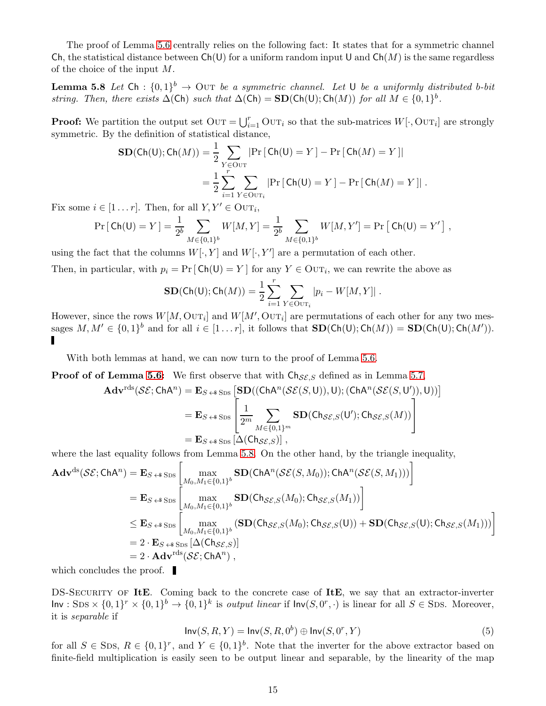The proof of Lemma [5.6](#page-13-1) centrally relies on the following fact: It states that for a symmetric channel Ch, the statistical distance between  $Ch(U)$  for a uniform random input U and  $Ch(M)$  is the same regardless of the choice of the input M.

**Lemma 5.8** Let  $\text{Ch}: \{0,1\}^b \to \text{Our } be \text{ a symmetric channel.}$  Let U be a uniformly distributed b-bit *string. Then, there exists*  $\Delta$ (Ch) *such that*  $\Delta$ (Ch) = **SD**(Ch(U); Ch(M)) *for all*  $M \in \{0, 1\}^b$ .

**Proof:** We partition the output set  $\text{OUT} = \bigcup_{i=1}^{r} \text{OUT}_i$  so that the sub-matrices  $W[\cdot, \text{OUT}_i]$  are strongly symmetric. By the definition of statistical distance,

<span id="page-14-0"></span>
$$
SD(Ch(U); Ch(M)) = \frac{1}{2} \sum_{Y \in OUT} |Pr [Ch(U) = Y] - Pr [Ch(M) = Y]|
$$
  
= 
$$
\frac{1}{2} \sum_{i=1}^{r} \sum_{Y \in OUT_i} |Pr [Ch(U) = Y] - Pr [Ch(M) = Y]|.
$$

Fix some  $i \in [1 \dots r]$ . Then, for all  $Y, Y' \in \text{OUT}_i$ ,

$$
\Pr\left[\text{Ch}(\mathsf{U})=Y\right] = \frac{1}{2^b} \sum_{M \in \{0,1\}^b} W[M,Y] = \frac{1}{2^b} \sum_{M \in \{0,1\}^b} W[M,Y'] = \Pr\left[\text{Ch}(\mathsf{U})=Y'\right],
$$

using the fact that the columns  $W[\cdot,Y]$  and  $W[\cdot,Y']$  are a permutation of each other.

Then, in particular, with  $p_i = Pr [Ch(U) = Y]$  for any  $Y \in \text{OUT}_i$ , we can rewrite the above as

$$
\mathbf{SD}(\mathsf{Ch}(\mathsf{U});\mathsf{Ch}(M)) = \frac{1}{2}\sum_{i=1}^r \sum_{Y \in \mathsf{OUT}_i} |p_i - W[M,Y]|.
$$

However, since the rows  $W[M, \text{OUT}_i]$  and  $W[M', \text{OUT}_i]$  are permutations of each other for any two messages  $M, M' \in \{0, 1\}^b$  and for all  $i \in [1 \dots r]$ , it follows that  $\text{SD}(\text{Ch}(\text{U}); \text{Ch}(M)) = \text{SD}(\text{Ch}(\text{U}); \text{Ch}(M')).$ 

With both lemmas at hand, we can now turn to the proof of Lemma [5.6.](#page-13-1)

**Proof of Lemma [5.6:](#page-13-1)** We first observe that with  $\text{Ch}_{SE,S}$  defined as in Lemma [5.7,](#page-13-2)

$$
\mathbf{Adv}^{\text{rds}}(\mathcal{SE}; \text{ChA}^n) = \mathbf{E}_{S \leftrightarrow \text{SDS}} \left[ \mathbf{SD}((\text{ChA}^n(\mathcal{SE}(S, U)), U); (\text{ChA}^n(\mathcal{SE}(S, U')), U)) \right]
$$
  
=  $\mathbf{E}_{S \leftrightarrow \text{SDS}} \left[ \frac{1}{2^m} \sum_{M \in \{0, 1\}^m} \mathbf{SD}(\text{Ch}_{\mathcal{SE}, S}(U'); \text{Ch}_{\mathcal{SE}, S}(M)) \right]$   
=  $\mathbf{E}_{S \leftrightarrow \text{SDS}} \left[ \Delta(\text{Ch}_{\mathcal{SE}, S}) \right],$ 

where the last equality follows from Lemma [5.8.](#page-14-0) On the other hand, by the triangle inequality,

$$
\mathbf{Adv}^{ds}(\mathcal{SE};\mathsf{ChA}^{n}) = \mathbf{E}_{S \leftrightarrow S_{\text{DS}}} \left[ \max_{M_{0}, M_{1} \in \{0,1\}^{b}} \mathbf{SD}(\mathsf{ChA}^{n}(\mathcal{SE}(S,M_{0}));\mathsf{ChA}^{n}(\mathcal{SE}(S,M_{1}))) \right]
$$
\n
$$
= \mathbf{E}_{S \leftrightarrow S_{\text{DS}}} \left[ \max_{M_{0}, M_{1} \in \{0,1\}^{b}} \mathbf{SD}(\mathsf{Ch}_{\mathcal{SE},S}(M_{0});\mathsf{Ch}_{\mathcal{SE},S}(M_{1})) \right]
$$
\n
$$
\leq \mathbf{E}_{S \leftrightarrow S_{\text{DS}}} \left[ \max_{M_{0}, M_{1} \in \{0,1\}^{b}} (\mathbf{SD}(\mathsf{Ch}_{\mathcal{SE},S}(M_{0});\mathsf{Ch}_{\mathcal{SE},S}(U)) + \mathbf{SD}(\mathsf{Ch}_{\mathcal{SE},S}(U);\mathsf{Ch}_{\mathcal{SE},S}(M_{1}))) \right]
$$
\n
$$
= 2 \cdot \mathbf{E}_{S \leftrightarrow S_{\text{DS}}} \left[ \Delta(\mathsf{Ch}_{\mathcal{SE},S}) \right]
$$
\n
$$
= 2 \cdot \mathbf{Adv}^{\text{rds}}(\mathcal{SE};\mathsf{ChA}^{n}),
$$

which concludes the proof.

DS-SECURITY OF ItE. Coming back to the concrete case of ItE, we say that an extractor-inverter  $\text{Inv}: \text{SDS} \times \{0,1\}^r \times \{0,1\}^b \to \{0,1\}^k$  is *output linear* if  $\text{Inv}(S, 0^r, \cdot)$  is linear for all  $S \in \text{SDS}$ . Moreover, it is *separable* if

$$
Inv(S, R, Y) = Inv(S, R, 0^b) \oplus Inv(S, 0^r, Y)
$$
\n(5)

for all  $S \in \text{SDs}, R \in \{0,1\}^r$ , and  $Y \in \{0,1\}^b$ . Note that the inverter for the above extractor based on finite-field multiplication is easily seen to be output linear and separable, by the linearity of the map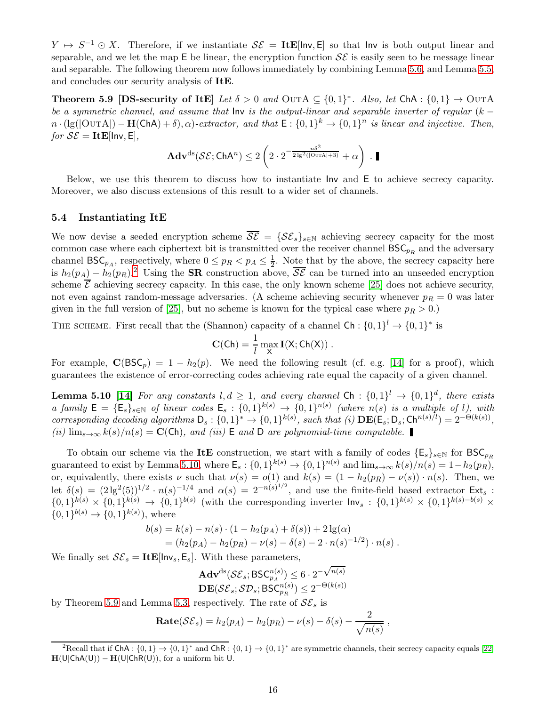<span id="page-15-4"></span> $Y \mapsto S^{-1} \odot X$ . Therefore, if we instantiate  $\mathcal{SE} = \textbf{ItE}[\text{Inv}, E]$  so that Inv is both output linear and separable, and we let the map  $E$  be linear, the encryption function  $\mathcal{SE}$  is easily seen to be message linear and separable. The following theorem now follows immediately by combining Lemma [5.6,](#page-13-1) and Lemma [5.5,](#page-11-1) and concludes our security analysis of ItE.

**Theorem 5.9** [DS-security of ItE] *Let*  $\delta > 0$  *and* OUTA  $\subseteq \{0,1\}^*$ . *Also, let* ChA :  $\{0,1\} \rightarrow$  OUTA *be a symmetric channel, and assume that* Inv *is the output-linear and separable inverter of regular* (<sup>k</sup> <sup>−</sup>  $n \cdot (\lg(|\text{OurA}|) - \mathbf{H}(\text{ChA}) + \delta), \alpha)$ -extractor, and that  $E : \{0,1\}^k \to \{0,1\}^n$  is linear and injective. Then,  $for$   $\mathcal{SE} = \mathbf{ItE}$ [lnv, E],

<span id="page-15-3"></span>
$$
\mathbf{Adv}^{\mathrm{ds}}(\mathcal{SE};\mathsf{ChA}^n) \leq 2\left(2\cdot 2^{-\frac{n\delta^2}{2\lg^2(|\mathrm{OurA}|+3)}} + \alpha\right)\ .\ \blacksquare
$$

Below, we use this theorem to discuss how to instantiate Inv and E to achieve secrecy capacity. Moreover, we also discuss extensions of this result to a wider set of channels.

#### <span id="page-15-0"></span>5.4 Instantiating ItE

We now devise a seeded encryption scheme  $\overline{\mathcal{SE}} = {\{\mathcal{SE}_s\}}_{s \in \mathbb{N}}$  achieving secrecy capacity for the most common case where each ciphertext bit is transmitted over the receiver channel  $BSC_{pR}$  and the adversary channel  $\mathsf{BSC}_{p_A}$ , respectively, where  $0 \leq p_R < p_A \leq \frac{1}{2}$  $\frac{1}{2}$ . Note that by the above, the secrecy capacity here is  $h_2(p_A) - h_2(p_B)$  $h_2(p_A) - h_2(p_B)$  $h_2(p_A) - h_2(p_B)$ .<sup>2</sup> Using the **SR** construction above,  $\overline{\mathcal{SE}}$  can be turned into an unseeded encryption scheme  $\overline{\mathcal{E}}$  achieving secrecy capacity. In this case, the only known scheme [\[25\]](#page-17-6) does not achieve security, not even against random-message adversaries. (A scheme achieving security whenever  $p_R = 0$  was later given in the full version of [\[25\]](#page-17-6), but no scheme is known for the typical case where  $p_R > 0$ .)

THE SCHEME. First recall that the (Shannon) capacity of a channel  $\mathsf{Ch}:\{0,1\}^l \to \{0,1\}^*$  is

$$
\mathbf{C}(Ch)=\frac{1}{l}\max_{\mathsf{X}}\mathbf{I}(\mathsf{X};Ch(\mathsf{X}))\;.
$$

<span id="page-15-2"></span>For example,  $C(BSC_p) = 1 - h_2(p)$ . We need the following result (cf. e.g. [\[14\]](#page-17-7) for a proof), which guarantees the existence of error-correcting codes achieving rate equal the capacity of a given channel.

**Lemma 5.10** [\[14\]](#page-17-7) *For any constants*  $l, d \geq 1$ , and every channel Ch :  $\{0, 1\}$ <sup>l</sup>  $\rightarrow \{0, 1\}$ <sup>d</sup>, there exists  $a$  family  $E = \{E_s\}_{s \in \mathbb{N}}$  of linear codes  $E_s : \{0,1\}^{k(s)} \to \{0,1\}^{n(s)}$  (where  $n(s)$  is a multiple of l), with *corresponding decoding algorithms*  $D_s: \{0,1\}^* \to \{0,1\}^{k(s)}$ , such that (i)  $\mathbf{DE}(\mathsf{E}_s; \mathsf{D}_s; \mathsf{Ch}^{n(s)/l}) = 2^{-\Theta(k(s))}$ , *(ii)*  $\lim_{s\to\infty} k(s)/n(s) = \mathbf{C}(\mathsf{Ch})$ , and *(iii)*  $\mathsf E$  *and*  $\mathsf D$  *are polynomial-time computable.* 

To obtain our scheme via the ItE construction, we start with a family of codes  $\{E_s\}_{s\in\mathbb{N}}$  for  $BSC_{p_R}$ guaranteed to exist by Lemma [5.10,](#page-15-2) where  $\mathsf{E}_s: \{0,1\}^{k(s)} \to \{0,1\}^{n(s)}$  and  $\lim_{s\to\infty} k(s)/n(s) = 1-h_2(p_R)$ , or, equivalently, there exists  $\nu$  such that  $\nu(s) = o(1)$  and  $k(s) = (1 - h_2(p_R) - \nu(s)) \cdot n(s)$ . Then, we let  $\delta(s) = (2 \lg^2(5))^{1/2} \cdot n(s)^{-1/4}$  and  $\alpha(s) = 2^{-n(s)^{1/2}}$ , and use the finite-field based extractor  $\mathsf{Ext}_s$ :  ${0,1}^{k(s)} \times {0,1}^{k(s)} \rightarrow {0,1}^{b(s)}$  (with the corresponding inverter  $\ln v_s : {0,1}^{k(s)} \times {0,1}^{k(s)-b(s)} \times$  $\{0,1\}^{b(s)} \to \{0,1\}^{k(s)}$ , where

$$
b(s) = k(s) - n(s) \cdot (1 - h_2(p_A) + \delta(s)) + 2 \lg(\alpha)
$$
  
=  $(h_2(p_A) - h_2(p_B) - \nu(s) - \delta(s) - 2 \cdot n(s)^{-1/2}) \cdot n(s)$ .

We finally set  $\mathcal{SE}_s = \textbf{ItE}[\text{Inv}_s, \text{E}_s]$ . With these parameters,

$$
\begin{array}{l} \mathbf{Adv}^{\mathrm{ds}}(\mathcal{SE}_s; \mathrm{BSC}^{n(s)}_{p_A}) \leq 6 \cdot 2^{-\sqrt{n(s)}} \\ \mathbf{DE}(\mathcal{SE}_s; \mathcal{SD}_s; \mathrm{BSC}^{n(s)}_{p_R}) \leq 2^{-\Theta(k(s))} \end{array}
$$

by Theorem [5.9](#page-15-3) and Lemma [5.3,](#page-10-2) respectively. The rate of  $S\mathcal{E}_s$  is

$$
\mathbf{Rate}(\mathcal{SE}_s) = h_2(p_A) - h_2(p_R) - \nu(s) - \delta(s) - \frac{2}{\sqrt{n(s)}},
$$

 $\Omega$ 

<span id="page-15-1"></span><sup>&</sup>lt;sup>2</sup>Recall that if ChA :  $\{0,1\} \rightarrow \{0,1\}^*$  and ChR :  $\{0,1\} \rightarrow \{0,1\}^*$  are symmetric channels, their secrecy capacity equals [\[22\]](#page-17-12)  $H(U|ChA(U)) - H(U|ChR(U))$ , for a uniform bit U.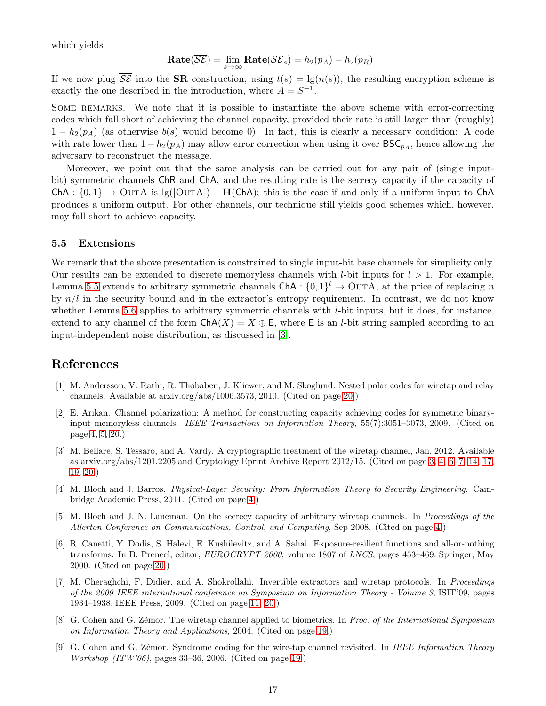<span id="page-16-6"></span>which yields

$$
\mathbf{Rate}(\overline{\mathcal{SE}}) = \lim_{s \to \infty} \mathbf{Rate}(\mathcal{SE}_s) = h_2(p_A) - h_2(p_R) .
$$

If we now plug  $\overline{\mathcal{SE}}$  into the **SR** construction, using  $t(s) = \lg(n(s))$ , the resulting encryption scheme is exactly the one described in the introduction, where  $A = S^{-1}$ .

SOME REMARKS. We note that it is possible to instantiate the above scheme with error-correcting codes which fall short of achieving the channel capacity, provided their rate is still larger than (roughly)  $1-h_2(p_A)$  (as otherwise  $b(s)$  would become 0). In fact, this is clearly a necessary condition: A code with rate lower than  $1 - h_2(p_A)$  may allow error correction when using it over  $BSC_{p_A}$ , hence allowing the adversary to reconstruct the message.

Moreover, we point out that the same analysis can be carried out for any pair of (single inputbit) symmetric channels ChR and ChA, and the resulting rate is the secrecy capacity if the capacity of ChA :  $\{0,1\} \rightarrow$  OUTA is lg(|OUTA|) – H(ChA); this is the case if and only if a uniform input to ChA produces a uniform output. For other channels, our technique still yields good schemes which, however, may fall short to achieve capacity.

#### <span id="page-16-0"></span>5.5 Extensions

We remark that the above presentation is constrained to single input-bit base channels for simplicity only. Our results can be extended to discrete memoryless channels with *l*-bit inputs for  $l > 1$ . For example, Lemma [5.5](#page-11-1) extends to arbitrary symmetric channels  $\mathsf{ChA} : \{0,1\}^l \to \text{OUTA}$ , at the price of replacing n by  $n/l$  in the security bound and in the extractor's entropy requirement. In contrast, we do not know whether Lemma [5.6](#page-13-1) applies to arbitrary symmetric channels with *l*-bit inputs, but it does, for instance, extend to any channel of the form  $ChA(X) = X \oplus E$ , where E is an *l*-bit string sampled according to an input-independent noise distribution, as discussed in [\[3\]](#page-16-1).

# <span id="page-16-9"></span>References

- [1] M. Andersson, V. Rathi, R. Thobaben, J. Kliewer, and M. Skoglund. Nested polar codes for wiretap and relay channels. Available at arxiv.org/abs/1006.3573, 2010. (Cited on page [20.](#page-19-1))
- <span id="page-16-4"></span>[2] E. Arıkan. Channel polarization: A method for constructing capacity achieving codes for symmetric binaryinput memoryless channels. *IEEE Transactions on Information Theory*, 55(7):3051–3073, 2009. (Cited on page [4,](#page-3-1) [5,](#page-4-1) [20.](#page-19-1))
- <span id="page-16-1"></span>[3] M. Bellare, S. Tessaro, and A. Vardy. A cryptographic treatment of the wiretap channel, Jan. 2012. Available as arxiv.org/abs/1201.2205 and Cryptology Eprint Archive Report 2012/15. (Cited on page [3,](#page-2-2) [4,](#page-3-1) [6,](#page-5-1) [7,](#page-6-1) [14,](#page-13-3) [17,](#page-16-6) [19,](#page-18-3) [20.](#page-19-1))
- <span id="page-16-2"></span>[4] M. Bloch and J. Barros. *Physical-Layer Security: From Information Theory to Security Engineering*. Cambridge Academic Press, 2011. (Cited on page [4.](#page-3-1))
- <span id="page-16-3"></span>[5] M. Bloch and J. N. Laneman. On the secrecy capacity of arbitrary wiretap channels. In *Proceedings of the Allerton Conference on Communications, Control, and Computing*, Sep 2008. (Cited on page [4.](#page-3-1))
- <span id="page-16-10"></span>[6] R. Canetti, Y. Dodis, S. Halevi, E. Kushilevitz, and A. Sahai. Exposure-resilient functions and all-or-nothing transforms. In B. Preneel, editor, *EUROCRYPT 2000*, volume 1807 of *LNCS*, pages 453–469. Springer, May 2000. (Cited on page [20.](#page-19-1))
- <span id="page-16-5"></span>[7] M. Cheraghchi, F. Didier, and A. Shokrollahi. Invertible extractors and wiretap protocols. In *Proceedings of the 2009 IEEE international conference on Symposium on Information Theory - Volume 3*, ISIT'09, pages 1934–1938. IEEE Press, 2009. (Cited on page [11,](#page-10-3) [20.](#page-19-1))
- <span id="page-16-7"></span>[8] G. Cohen and G. Z´emor. The wiretap channel applied to biometrics. In *Proc. of the International Symposium on Information Theory and Applications*, 2004. (Cited on page [19.](#page-18-3))
- <span id="page-16-8"></span>[9] G. Cohen and G. Z´emor. Syndrome coding for the wire-tap channel revisited. In *IEEE Information Theory Workshop (ITW'06)*, pages 33–36, 2006. (Cited on page [19.](#page-18-3))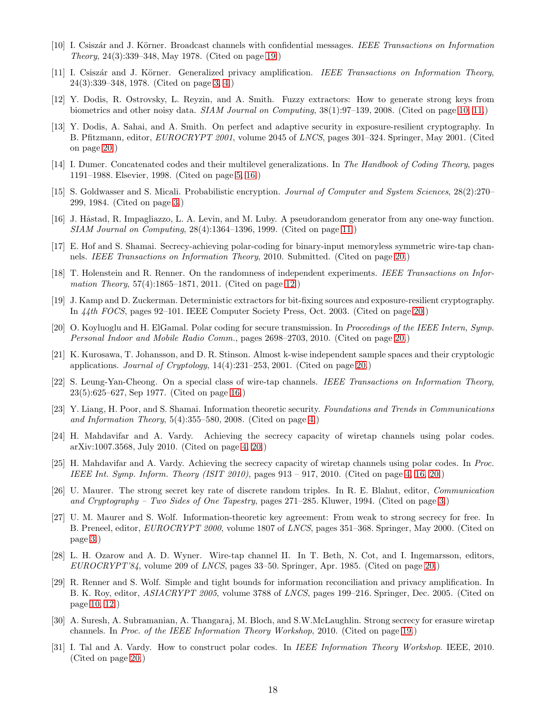- <span id="page-17-13"></span><span id="page-17-0"></span>[10] I. Csisz´ar and J. K¨orner. Broadcast channels with confidential messages. *IEEE Transactions on Information Theory*, 24(3):339–348, May 1978. (Cited on page [19.](#page-18-3))
- <span id="page-17-9"></span>[11] I. Csiszár and J. Körner. Generalized privacy amplification. *IEEE Transactions on Information Theory*, 24(3):339–348, 1978. (Cited on page [3,](#page-2-2) [4.](#page-3-1))
- [12] Y. Dodis, R. Ostrovsky, L. Reyzin, and A. Smith. Fuzzy extractors: How to generate strong keys from biometrics and other noisy data. *SIAM Journal on Computing*, 38(1):97–139, 2008. (Cited on page [10,](#page-9-2) [11.](#page-10-3))
- <span id="page-17-21"></span>[13] Y. Dodis, A. Sahai, and A. Smith. On perfect and adaptive security in exposure-resilient cryptography. In B. Pfitzmann, editor, *EUROCRYPT 2001*, volume 2045 of *LNCS*, pages 301–324. Springer, May 2001. (Cited on page [20.](#page-19-1))
- <span id="page-17-7"></span><span id="page-17-3"></span>[14] I. Dumer. Concatenated codes and their multilevel generalizations. In *The Handbook of Coding Theory*, pages 1191–1988. Elsevier, 1998. (Cited on page [5,](#page-4-1) [16.](#page-15-4))
- [15] S. Goldwasser and S. Micali. Probabilistic encryption. *Journal of Computer and System Sciences*, 28(2):270– 299, 1984. (Cited on page [3.](#page-2-2))
- <span id="page-17-15"></span><span id="page-17-10"></span>[16] J. Håstad, R. Impagliazzo, L. A. Levin, and M. Luby. A pseudorandom generator from any one-way function. *SIAM Journal on Computing*, 28(4):1364–1396, 1999. (Cited on page [11.](#page-10-3))
- [17] E. Hof and S. Shamai. Secrecy-achieving polar-coding for binary-input memoryless symmetric wire-tap channels. *IEEE Transactions on Information Theory*, 2010. Submitted. (Cited on page [20.](#page-19-1))
- <span id="page-17-19"></span><span id="page-17-11"></span>[18] T. Holenstein and R. Renner. On the randomness of independent experiments. *IEEE Transactions on Information Theory*, 57(4):1865–1871, 2011. (Cited on page [12.](#page-11-3))
- [19] J. Kamp and D. Zuckerman. Deterministic extractors for bit-fixing sources and exposure-resilient cryptography. In *44th FOCS*, pages 92–101. IEEE Computer Society Press, Oct. 2003. (Cited on page [20.](#page-19-1))
- <span id="page-17-16"></span>[20] O. Koyluoglu and H. ElGamal. Polar coding for secure transmission. In *Proceedings of the IEEE Intern, Symp. Personal Indoor and Mobile Radio Comm.*, pages 2698–2703, 2010. (Cited on page [20.](#page-19-1))
- <span id="page-17-20"></span>[21] K. Kurosawa, T. Johansson, and D. R. Stinson. Almost k-wise independent sample spaces and their cryptologic applications. *Journal of Cryptology*, 14(4):231–253, 2001. (Cited on page [20.](#page-19-1))
- <span id="page-17-12"></span>[22] S. Leung-Yan-Cheong. On a special class of wire-tap channels. *IEEE Transactions on Information Theory*, 23(5):625–627, Sep 1977. (Cited on page [16.](#page-15-4))
- <span id="page-17-4"></span>[23] Y. Liang, H. Poor, and S. Shamai. Information theoretic security. *Foundations and Trends in Communications and Information Theory*, 5(4):355–580, 2008. (Cited on page [4.](#page-3-1))
- <span id="page-17-5"></span>[24] H. Mahdavifar and A. Vardy. Achieving the secrecy capacity of wiretap channels using polar codes. arXiv:1007.3568, July 2010. (Cited on page [4,](#page-3-1) [20.](#page-19-1))
- <span id="page-17-6"></span>[25] H. Mahdavifar and A. Vardy. Achieving the secrecy capacity of wiretap channels using polar codes. In *Proc. IEEE Int. Symp. Inform. Theory (ISIT 2010)*, pages 913 – 917, 2010. (Cited on page [4,](#page-3-1) [16,](#page-15-4) [20.](#page-19-1))
- <span id="page-17-1"></span>[26] U. Maurer. The strong secret key rate of discrete random triples. In R. E. Blahut, editor, *Communication and Cryptography – Two Sides of One Tapestry*, pages 271–285. Kluwer, 1994. (Cited on page [3.](#page-2-2))
- <span id="page-17-2"></span>[27] U. M. Maurer and S. Wolf. Information-theoretic key agreement: From weak to strong secrecy for free. In B. Preneel, editor, *EUROCRYPT 2000*, volume 1807 of *LNCS*, pages 351–368. Springer, May 2000. (Cited on page [3.](#page-2-2))
- <span id="page-17-18"></span>[28] L. H. Ozarow and A. D. Wyner. Wire-tap channel II. In T. Beth, N. Cot, and I. Ingemarsson, editors, *EUROCRYPT'84*, volume 209 of *LNCS*, pages 33–50. Springer, Apr. 1985. (Cited on page [20.](#page-19-1))
- <span id="page-17-8"></span>[29] R. Renner and S. Wolf. Simple and tight bounds for information reconciliation and privacy amplification. In B. K. Roy, editor, *ASIACRYPT 2005*, volume 3788 of *LNCS*, pages 199–216. Springer, Dec. 2005. (Cited on page [10,](#page-9-2) [12.](#page-11-3))
- <span id="page-17-14"></span>[30] A. Suresh, A. Subramanian, A. Thangaraj, M. Bloch, and S.W.McLaughlin. Strong secrecy for erasure wiretap channels. In *Proc. of the IEEE Information Theory Workshop*, 2010. (Cited on page [19.](#page-18-3))
- <span id="page-17-17"></span>[31] I. Tal and A. Vardy. How to construct polar codes. In *IEEE Information Theory Workshop*. IEEE, 2010. (Cited on page [20.](#page-19-1))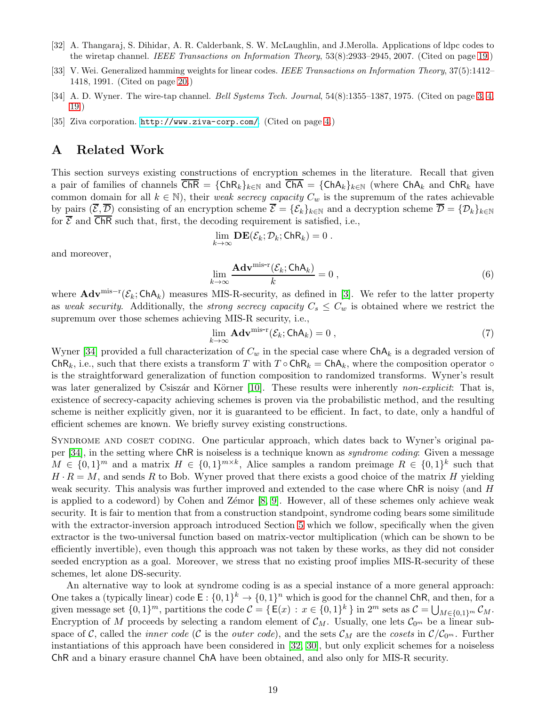- <span id="page-18-4"></span><span id="page-18-3"></span>[32] A. Thangaraj, S. Dihidar, A. R. Calderbank, S. W. McLaughlin, and J.Merolla. Applications of ldpc codes to the wiretap channel. *IEEE Transactions on Information Theory*, 53(8):2933–2945, 2007. (Cited on page [19.](#page-18-3))
- <span id="page-18-5"></span><span id="page-18-1"></span>[33] V. Wei. Generalized hamming weights for linear codes. *IEEE Transactions on Information Theory*, 37(5):1412– 1418, 1991. (Cited on page [20.](#page-19-1))
- <span id="page-18-2"></span>[34] A. D. Wyner. The wire-tap channel. *Bell Systems Tech. Journal*, 54(8):1355–1387, 1975. (Cited on page [3,](#page-2-2) [4,](#page-3-1) [19.](#page-18-3))
- <span id="page-18-0"></span>[35] Ziva corporation. <http://www.ziva-corp.com/>. (Cited on page [4.](#page-3-1))

## A Related Work

This section surveys existing constructions of encryption schemes in the literature. Recall that given a pair of families of channels  $\overline{ChR} = \{ChR_k\}_{k\in\mathbb{N}}$  and  $\overline{ChA} = \{ChA_k\}_{k\in\mathbb{N}}$  (where  $ChA_k$  and  $ChR_k$  have common domain for all  $k \in \mathbb{N}$ , their *weak secrecy capacity*  $C_w$  is the supremum of the rates achievable by pairs  $(\overline{\mathcal{E}}, \overline{\mathcal{D}})$  consisting of an encryption scheme  $\overline{\mathcal{E}} = {\mathcal{E}_k}_{k\in\mathbb{N}}$  and a decryption scheme  $\overline{\mathcal{D}} = {\mathcal{D}_k}_{k\in\mathbb{N}}$ for  $\overline{\mathcal{E}}$  and  $\overline{\mathsf{ChR}}$  such that, first, the decoding requirement is satisfied, i.e.,

$$
\lim_{k\to\infty}\mathbf{DE}(\mathcal{E}_k;\mathcal{D}_k;\mathsf{ChR}_k)=0.
$$

and moreover,

$$
\lim_{k \to \infty} \frac{\mathbf{Adv}^{\text{mis-r}}(\mathcal{E}_k; \mathsf{ChA}_k)}{k} = 0 ,
$$
\n(6)

where  $\mathbf{Adv}^{\text{mis}-r}(\mathcal{E}_k; \mathsf{ChA}_k)$  measures MIS-R-security, as defined in [\[3\]](#page-16-1). We refer to the latter property as *weak security*. Additionally, the *strong secrecy capacity*  $C_s \leq C_w$  is obtained where we restrict the supremum over those schemes achieving MIS-R security, i.e.,

$$
\lim_{k \to \infty} \mathbf{Adv}^{\text{mis-r}}(\mathcal{E}_k; \mathsf{ChA}_k) = 0 ,
$$
\n(7)

Wyner [\[34\]](#page-18-1) provided a full characterization of  $C_w$  in the special case where  $\textsf{ChA}_k$  is a degraded version of ChR<sub>k</sub>, i.e., such that there exists a transform T with  $T \circ ChR_k = ChA_k$ , where the composition operator  $\circ$ is the straightforward generalization of function composition to randomized transforms. Wyner's result was later generalized by Csiszár and Körner [\[10\]](#page-17-13). These results were inherently *non-explicit*: That is, existence of secrecy-capacity achieving schemes is proven via the probabilistic method, and the resulting scheme is neither explicitly given, nor it is guaranteed to be efficient. In fact, to date, only a handful of efficient schemes are known. We briefly survey existing constructions.

SYNDROME AND COSET CODING. One particular approach, which dates back to Wyner's original paper [\[34\]](#page-18-1), in the setting where ChR is noiseless is a technique known as *syndrome coding*: Given a message  $M \in \{0,1\}^m$  and a matrix  $H \in \{0,1\}^{m \times k}$ , Alice samples a random preimage  $R \in \{0,1\}^k$  such that  $H \cdot R = M$ , and sends R to Bob. Wyner proved that there exists a good choice of the matrix H yielding weak security. This analysis was further improved and extended to the case where ChR is noisy (and H is applied to a codeword) by Cohen and Zémor  $[8, 9]$  $[8, 9]$ . However, all of these schemes only achieve weak security. It is fair to mention that from a construction standpoint, syndrome coding bears some similitude with the extractor-inversion approach introduced Section [5](#page-9-0) which we follow, specifically when the given extractor is the two-universal function based on matrix-vector multiplication (which can be shown to be efficiently invertible), even though this approach was not taken by these works, as they did not consider seeded encryption as a goal. Moreover, we stress that no existing proof implies MIS-R-security of these schemes, let alone DS-security.

An alternative way to look at syndrome coding is as a special instance of a more general approach: One takes a (typically linear) code  $E: \{0,1\}^k \to \{0,1\}^n$  which is good for the channel ChR, and then, for a given message set  $\{0,1\}^m$ , partitions the code  $\mathcal{C} = \{\mathsf{E}(x) : x \in \{0,1\}^k\}$  in  $2^m$  sets as  $\mathcal{C} = \bigcup_{M \in \{0,1\}^m} \mathcal{C}_M$ . Encryption of M proceeds by selecting a random element of  $\mathcal{C}_M$ . Usually, one lets  $\mathcal{C}_{0^m}$  be a linear subspace of C, called the *inner code* (C is the *outer code*), and the sets  $\mathcal{C}_M$  are the *cosets* in  $\mathcal{C}/\mathcal{C}_{0^m}$ . Further instantiations of this approach have been considered in [\[32,](#page-18-4) [30\]](#page-17-14), but only explicit schemes for a noiseless ChR and a binary erasure channel ChA have been obtained, and also only for MIS-R security.